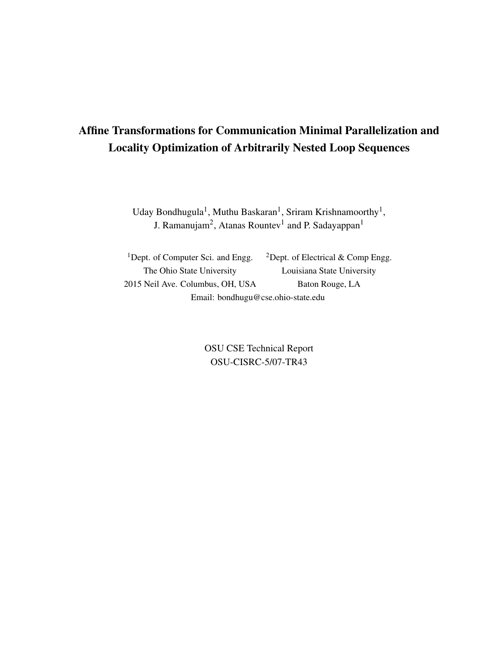# Affine Transformations for Communication Minimal Parallelization and Locality Optimization of Arbitrarily Nested Loop Sequences

Uday Bondhugula<sup>1</sup>, Muthu Baskaran<sup>1</sup>, Sriram Krishnamoorthy<sup>1</sup>, J. Ramanujam<sup>2</sup>, Atanas Rountev<sup>1</sup> and P. Sadayappan<sup>1</sup>

<sup>1</sup>Dept. of Computer Sci. and Engg.  $2$ Dept. of Electrical & Comp Engg. The Ohio State University Louisiana State University 2015 Neil Ave. Columbus, OH, USA Baton Rouge, LA Email: bondhugu@cse.ohio-state.edu

> OSU CSE Technical Report OSU-CISRC-5/07-TR43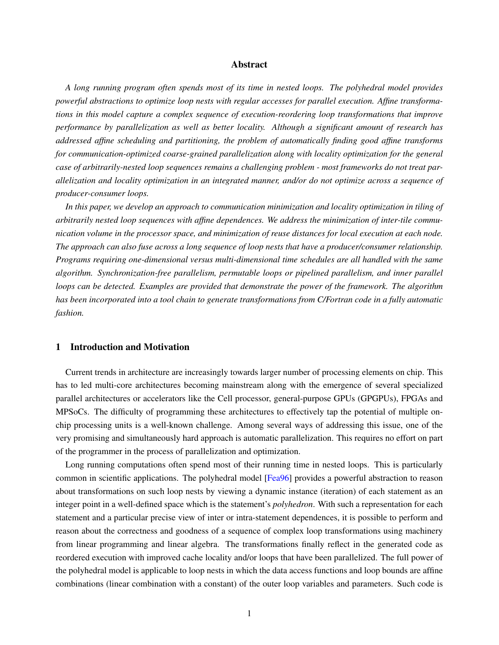## Abstract

*A long running program often spends most of its time in nested loops. The polyhedral model provides powerful abstractions to optimize loop nests with regular accesses for parallel execution. Affine transformations in this model capture a complex sequence of execution-reordering loop transformations that improve performance by parallelization as well as better locality. Although a significant amount of research has addressed affine scheduling and partitioning, the problem of automatically finding good affine transforms for communication-optimized coarse-grained parallelization along with locality optimization for the general case of arbitrarily-nested loop sequences remains a challenging problem - most frameworks do not treat parallelization and locality optimization in an integrated manner, and/or do not optimize across a sequence of producer-consumer loops.*

*In this paper, we develop an approach to communication minimization and locality optimization in tiling of arbitrarily nested loop sequences with affine dependences. We address the minimization of inter-tile communication volume in the processor space, and minimization of reuse distances for local execution at each node. The approach can also fuse across a long sequence of loop nests that have a producer/consumer relationship. Programs requiring one-dimensional versus multi-dimensional time schedules are all handled with the same algorithm. Synchronization-free parallelism, permutable loops or pipelined parallelism, and inner parallel loops can be detected. Examples are provided that demonstrate the power of the framework. The algorithm has been incorporated into a tool chain to generate transformations from C/Fortran code in a fully automatic fashion.*

# 1 Introduction and Motivation

Current trends in architecture are increasingly towards larger number of processing elements on chip. This has to led multi-core architectures becoming mainstream along with the emergence of several specialized parallel architectures or accelerators like the Cell processor, general-purpose GPUs (GPGPUs), FPGAs and MPSoCs. The difficulty of programming these architectures to effectively tap the potential of multiple onchip processing units is a well-known challenge. Among several ways of addressing this issue, one of the very promising and simultaneously hard approach is automatic parallelization. This requires no effort on part of the programmer in the process of parallelization and optimization.

Long running computations often spend most of their running time in nested loops. This is particularly common in scientific applications. The polyhedral model [\[Fea96\]](#page-26-0) provides a powerful abstraction to reason about transformations on such loop nests by viewing a dynamic instance (iteration) of each statement as an integer point in a well-defined space which is the statement's *polyhedron*. With such a representation for each statement and a particular precise view of inter or intra-statement dependences, it is possible to perform and reason about the correctness and goodness of a sequence of complex loop transformations using machinery from linear programming and linear algebra. The transformations finally reflect in the generated code as reordered execution with improved cache locality and/or loops that have been parallelized. The full power of the polyhedral model is applicable to loop nests in which the data access functions and loop bounds are affine combinations (linear combination with a constant) of the outer loop variables and parameters. Such code is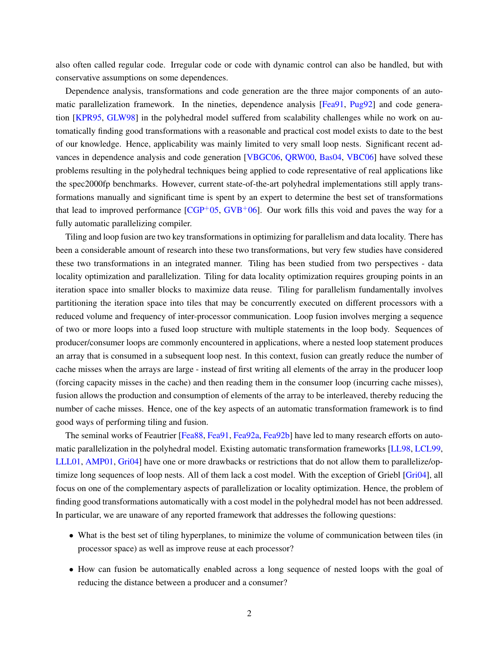also often called regular code. Irregular code or code with dynamic control can also be handled, but with conservative assumptions on some dependences.

Dependence analysis, transformations and code generation are the three major components of an auto-matic parallelization framework. In the nineties, dependence analysis [\[Fea91,](#page-25-0) [Pug92\]](#page-27-0) and code generation [\[KPR95,](#page-26-1) [GLW98\]](#page-26-2) in the polyhedral model suffered from scalability challenges while no work on automatically finding good transformations with a reasonable and practical cost model exists to date to the best of our knowledge. Hence, applicability was mainly limited to very small loop nests. Significant recent advances in dependence analysis and code generation [\[VBGC06,](#page-27-1) [QRW00,](#page-27-2) [Bas04,](#page-25-1) [VBC06\]](#page-27-3) have solved these problems resulting in the polyhedral techniques being applied to code representative of real applications like the spec2000fp benchmarks. However, current state-of-the-art polyhedral implementations still apply transformations manually and significant time is spent by an expert to determine the best set of transformations that lead to improved performance  $[CGP<sup>+</sup>05, GVB<sup>+</sup>06]$  $[CGP<sup>+</sup>05, GVB<sup>+</sup>06]$  $[CGP<sup>+</sup>05, GVB<sup>+</sup>06]$  $[CGP<sup>+</sup>05, GVB<sup>+</sup>06]$ . Our work fills this void and paves the way for a fully automatic parallelizing compiler.

Tiling and loop fusion are two key transformations in optimizing for parallelism and data locality. There has been a considerable amount of research into these two transformations, but very few studies have considered these two transformations in an integrated manner. Tiling has been studied from two perspectives - data locality optimization and parallelization. Tiling for data locality optimization requires grouping points in an iteration space into smaller blocks to maximize data reuse. Tiling for parallelism fundamentally involves partitioning the iteration space into tiles that may be concurrently executed on different processors with a reduced volume and frequency of inter-processor communication. Loop fusion involves merging a sequence of two or more loops into a fused loop structure with multiple statements in the loop body. Sequences of producer/consumer loops are commonly encountered in applications, where a nested loop statement produces an array that is consumed in a subsequent loop nest. In this context, fusion can greatly reduce the number of cache misses when the arrays are large - instead of first writing all elements of the array in the producer loop (forcing capacity misses in the cache) and then reading them in the consumer loop (incurring cache misses), fusion allows the production and consumption of elements of the array to be interleaved, thereby reducing the number of cache misses. Hence, one of the key aspects of an automatic transformation framework is to find good ways of performing tiling and fusion.

The seminal works of Feautrier [\[Fea88,](#page-25-3) [Fea91,](#page-25-0) [Fea92a,](#page-25-4) [Fea92b\]](#page-26-4) have led to many research efforts on automatic parallelization in the polyhedral model. Existing automatic transformation frameworks [\[LL98,](#page-27-4) [LCL99,](#page-26-5) [LLL01,](#page-27-5) [AMP01,](#page-25-5) [Gri04\]](#page-26-6) have one or more drawbacks or restrictions that do not allow them to parallelize/optimize long sequences of loop nests. All of them lack a cost model. With the exception of Griebl [\[Gri04\]](#page-26-6), all focus on one of the complementary aspects of parallelization or locality optimization. Hence, the problem of finding good transformations automatically with a cost model in the polyhedral model has not been addressed. In particular, we are unaware of any reported framework that addresses the following questions:

- What is the best set of tiling hyperplanes, to minimize the volume of communication between tiles (in processor space) as well as improve reuse at each processor?
- How can fusion be automatically enabled across a long sequence of nested loops with the goal of reducing the distance between a producer and a consumer?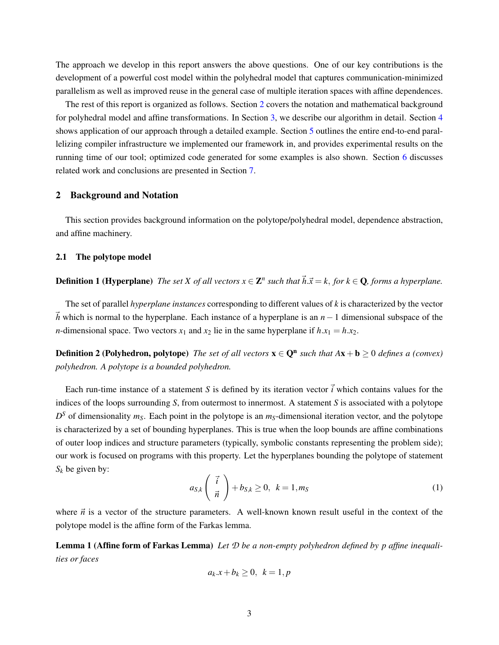The approach we develop in this report answers the above questions. One of our key contributions is the development of a powerful cost model within the polyhedral model that captures communication-minimized parallelism as well as improved reuse in the general case of multiple iteration spaces with affine dependences.

The rest of this report is organized as follows. Section [2](#page-3-0) covers the notation and mathematical background for polyhedral model and affine transformations. In Section [3,](#page-6-0) we describe our algorithm in detail. Section [4](#page-16-0) shows application of our approach through a detailed example. Section [5](#page-19-0) outlines the entire end-to-end parallelizing compiler infrastructure we implemented our framework in, and provides experimental results on the running time of our tool; optimized code generated for some examples is also shown. Section [6](#page-22-0) discusses related work and conclusions are presented in Section [7.](#page-24-0)

## <span id="page-3-0"></span>2 Background and Notation

This section provides background information on the polytope/polyhedral model, dependence abstraction, and affine machinery.

# 2.1 The polytope model

**Definition 1 (Hyperplane)** The set X of all vectors  $x \in \mathbb{Z}^n$  such that  $\vec{h}.\vec{x} = k$ , for  $k \in \mathbb{Q}$ , forms a hyperplane.

The set of parallel *hyperplane instances* corresponding to different values of *k* is characterized by the vector  $\bar{h}$  which is normal to the hyperplane. Each instance of a hyperplane is an  $n-1$  dimensional subspace of the *n*-dimensional space. Two vectors  $x_1$  and  $x_2$  lie in the same hyperplane if  $h.x_1 = h.x_2$ .

**Definition 2 (Polyhedron, polytope)** The set of all vectors  $\mathbf{x} \in \mathbf{Q}^n$  such that  $A\mathbf{x} + \mathbf{b} \geq 0$  defines a (convex) *polyhedron. A polytope is a bounded polyhedron.*

Each run-time instance of a statement *S* is defined by its iteration vector  $\vec{i}$  which contains values for the indices of the loops surrounding *S*, from outermost to innermost. A statement *S* is associated with a polytope  $D<sup>S</sup>$  of dimensionality  $m<sub>S</sub>$ . Each point in the polytope is an  $m<sub>S</sub>$ -dimensional iteration vector, and the polytope is characterized by a set of bounding hyperplanes. This is true when the loop bounds are affine combinations of outer loop indices and structure parameters (typically, symbolic constants representing the problem side); our work is focused on programs with this property. Let the hyperplanes bounding the polytope of statement  $S_k$  be given by:

$$
a_{S,k} \left( \begin{array}{c} \vec{i} \\ \vec{n} \end{array} \right) + b_{S,k} \ge 0, \ k = 1, m_S \tag{1}
$$

where  $\vec{n}$  is a vector of the structure parameters. A well-known known result useful in the context of the polytope model is the affine form of the Farkas lemma.

Lemma 1 (Affine form of Farkas Lemma) *Let D be a non-empty polyhedron defined by p affine inequalities or faces*

$$
a_k.x + b_k \ge 0, \ k = 1, p
$$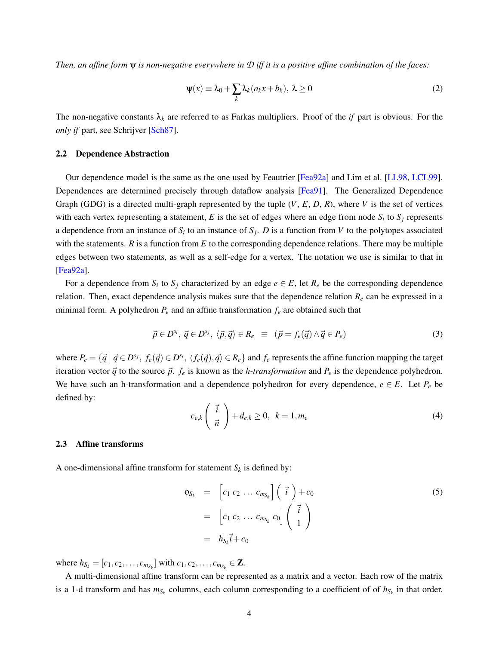*Then, an affine form* ψ *is non-negative everywhere in D iff it is a positive affine combination of the faces:*

$$
\Psi(x) \equiv \lambda_0 + \sum_k \lambda_k (a_k x + b_k), \ \lambda \ge 0
$$
\n(2)

The non-negative constants  $\lambda_k$  are referred to as Farkas multipliers. Proof of the *if* part is obvious. For the *only if* part, see Schrijver [\[Sch87\]](#page-27-6).

#### 2.2 Dependence Abstraction

Our dependence model is the same as the one used by Feautrier [\[Fea92a\]](#page-25-4) and Lim et al. [\[LL98,](#page-27-4) [LCL99\]](#page-26-5). Dependences are determined precisely through dataflow analysis [\[Fea91\]](#page-25-0). The Generalized Dependence Graph (GDG) is a directed multi-graph represented by the tuple (*V*, *E*, *D*, *R*), where *V* is the set of vertices with each vertex representing a statement,  $E$  is the set of edges where an edge from node  $S_i$  to  $S_j$  represents a dependence from an instance of  $S_i$  to an instance of  $S_j$ . *D* is a function from *V* to the polytopes associated with the statements.  $R$  is a function from  $E$  to the corresponding dependence relations. There may be multiple edges between two statements, as well as a self-edge for a vertex. The notation we use is similar to that in [\[Fea92a\]](#page-25-4).

For a dependence from  $S_i$  to  $S_j$  characterized by an edge  $e \in E$ , let  $R_e$  be the corresponding dependence relation. Then, exact dependence analysis makes sure that the dependence relation *R<sup>e</sup>* can be expressed in a minimal form. A polyhedron  $P_e$  and an affine transformation  $f_e$  are obtained such that

<span id="page-4-0"></span>
$$
\vec{p} \in D^{s_i}, \ \vec{q} \in D^{s_j}, \ \langle \vec{p}, \vec{q} \rangle \in R_e \ \equiv \ \left( \vec{p} = f_e(\vec{q}) \land \vec{q} \in P_e \right) \tag{3}
$$

where  $P_e = \{\vec{q} \mid \vec{q} \in D^{s_j}, f_e(\vec{q}) \in D^{s_i}, \langle f_e(\vec{q}), \vec{q} \rangle \in R_e\}$  and  $f_e$  represents the affine function mapping the target iteration vector  $\vec{q}$  to the source  $\vec{p}$ .  $f_e$  is known as the *h-transformation* and  $P_e$  is the dependence polyhedron. We have such an h-transformation and a dependence polyhedron for every dependence,  $e \in E$ . Let  $P_e$  be defined by:

$$
c_{e,k}\left(\begin{array}{c}\vec{i}\\\vec{n}\end{array}\right)+d_{e,k}\geq 0,\ \ k=1,m_e\tag{4}
$$

## <span id="page-4-1"></span>2.3 Affine transforms

A one-dimensional affine transform for statement  $S_k$  is defined by:

<span id="page-4-2"></span>
$$
\begin{array}{rcl}\n\Phi_{S_k} & = & \left[c_1 \ c_2 \ \dots \ c_{m_{S_k}}\right] \left(\begin{array}{c} \vec{i} \end{array}\right) + c_0 \\
& = & \left[c_1 \ c_2 \ \dots \ c_{m_{S_k}} \ c_0\right] \left(\begin{array}{c} \vec{i} \ 1 \end{array}\right) \\
& = & h_{S_k} \vec{i} + c_0\n\end{array} \tag{5}
$$

where  $h_{S_k} = [c_1, c_2, \dots, c_{m_{S_k}}]$  with  $c_1, c_2, \dots, c_{m_{S_k}} \in \mathbb{Z}$ .

A multi-dimensional affine transform can be represented as a matrix and a vector. Each row of the matrix is a 1-d transform and has  $m_{S_k}$  columns, each column corresponding to a coefficient of of  $h_{S_k}$  in that order.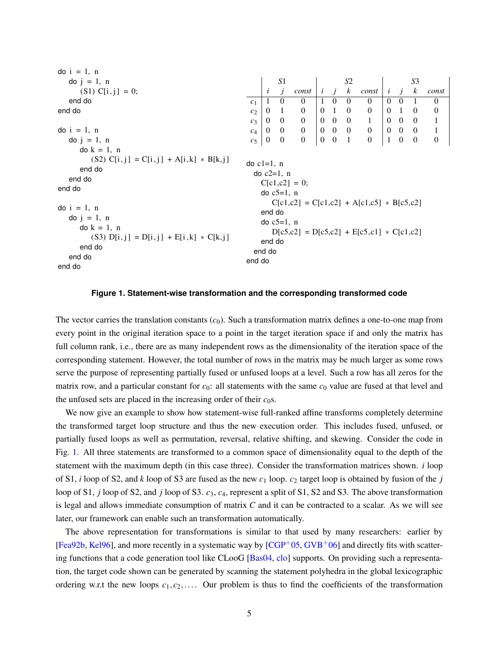| $\phi$ i = 1, n                                                                                                                                                                   |                                                                                                                                                                                                   |                |                |                     |              |                   |                     |                          |              |                                              |                  |                  |
|-----------------------------------------------------------------------------------------------------------------------------------------------------------------------------------|---------------------------------------------------------------------------------------------------------------------------------------------------------------------------------------------------|----------------|----------------|---------------------|--------------|-------------------|---------------------|--------------------------|--------------|----------------------------------------------|------------------|------------------|
| $\text{do } j = 1, n$                                                                                                                                                             |                                                                                                                                                                                                   |                | S1             |                     |              |                   | S <sub>2</sub>      |                          |              |                                              | S3               |                  |
| $(S1) C[i,j] = 0;$                                                                                                                                                                |                                                                                                                                                                                                   | $\dot{i}$      | j              | const               |              |                   | $i \quad j \quad k$ | const                    |              | $i \quad j$                                  | $\boldsymbol{k}$ | const            |
| end do                                                                                                                                                                            | c <sub>1</sub>                                                                                                                                                                                    | 1              | $\Omega$       | $\Omega$            | $\mathbf{1}$ | $\theta$          | $\overline{0}$      | $\theta$                 | $\theta$     | $\overline{0}$                               | -1               | $\mathbf{0}$     |
| end do                                                                                                                                                                            | c <sub>2</sub>                                                                                                                                                                                    | $\overline{0}$ | $\overline{1}$ | $\boldsymbol{0}$    |              | 0 <sub>1</sub>    | $\overline{0}$      | $\boldsymbol{0}$         | $\mathbf{0}$ | $\overline{1}$                               | $\overline{0}$   | $\boldsymbol{0}$ |
|                                                                                                                                                                                   | $c_3$                                                                                                                                                                                             | $\overline{0}$ | $\overline{0}$ | $\overline{0}$      |              | $0 \quad 0$       | $\overline{0}$      | $\mathbf{1}$             |              | $0\quad 0\quad 0$                            |                  | $\mathbf{1}$     |
| $\phi$ i = 1, n                                                                                                                                                                   | $c_4$                                                                                                                                                                                             |                |                | $0 \quad 0 \quad 0$ |              | $0\quad 0\quad 0$ |                     | $\overline{\phantom{0}}$ |              | $\begin{array}{ ccc } 0 & 0 & 0 \end{array}$ |                  | $\mathbf{1}$     |
| $\text{do } j = 1, n$                                                                                                                                                             | c <sub>5</sub>                                                                                                                                                                                    | $\mathbf{0}$   | $\overline{0}$ | $\mathbf{0}$        |              | $0\quad 0$        | $\overline{1}$      | $\mathbf{0}$             | $\mathbf{1}$ | $\overline{0}$                               | $\theta$         | $\mathbf{0}$     |
| $\text{do } k = 1, \text{ n}$<br>$(S2) C[i, j] = C[i, j] + A[i, k] * B[k, j]$<br>end do<br>end do<br>end do<br>$\phi$ i = 1, n<br>do $j = 1$ , n<br>$\text{do } k = 1, \text{ n}$ | $\alpha$ c1=1, n<br>$\alpha$ c2=1, n<br>$C[c1,c2] = 0;$<br>do $c5=1$ , n<br>$C[c1,c2] = C[c1,c2] + A[c1,c5] * B[c5,c2]$<br>end do<br>do $c5=1$ , n<br>$D[c5,c2] = D[c5,c2] + E[c5,c1] * C[c1,c2]$ |                |                |                     |              |                   |                     |                          |              |                                              |                  |                  |
| $(S3)$ $D[i, j] = D[i, j] + E[i, k] * C[k, j]$<br>end do<br>end do<br>end do                                                                                                      | end do<br>end do<br>end do                                                                                                                                                                        |                |                |                     |              |                   |                     |                          |              |                                              |                  |                  |

# <span id="page-5-0"></span>**Figure 1. Statement-wise transformation and the corresponding transformed code**

The vector carries the translation constants  $(c_0)$ . Such a transformation matrix defines a one-to-one map from every point in the original iteration space to a point in the target iteration space if and only the matrix has full column rank, i.e., there are as many independent rows as the dimensionality of the iteration space of the corresponding statement. However, the total number of rows in the matrix may be much larger as some rows serve the purpose of representing partially fused or unfused loops at a level. Such a row has all zeros for the matrix row, and a particular constant for  $c_0$ : all statements with the same  $c_0$  value are fused at that level and the unfused sets are placed in the increasing order of their  $c_0$ s.

We now give an example to show how statement-wise full-ranked affine transforms completely determine the transformed target loop structure and thus the new execution order. This includes fused, unfused, or partially fused loops as well as permutation, reversal, relative shifting, and skewing. Consider the code in Fig. [1.](#page-5-0) All three statements are transformed to a common space of dimensionality equal to the depth of the statement with the maximum depth (in this case three). Consider the transformation matrices shown. *i* loop of S1, *i* loop of S2, and *k* loop of S3 are fused as the new *c*<sup>1</sup> loop. *c*<sup>2</sup> target loop is obtained by fusion of the *j* loop of S1, *j* loop of S2, and *j* loop of S3. *c*3, *c*4, represent a split of S1, S2 and S3. The above transformation is legal and allows immediate consumption of matrix *C* and it can be contracted to a scalar. As we will see later, our framework can enable such an transformation automatically.

The above representation for transformations is similar to that used by many researchers: earlier by [\[Fea92b,](#page-26-4) [Kel96\]](#page-26-7), and more recently in a systematic way by  $[CGP<sup>+</sup>05, GVB<sup>+</sup>06]$  $[CGP<sup>+</sup>05, GVB<sup>+</sup>06]$  $[CGP<sup>+</sup>05, GVB<sup>+</sup>06]$  $[CGP<sup>+</sup>05, GVB<sup>+</sup>06]$  and directly fits with scattering functions that a code generation tool like CLooG [\[Bas04,](#page-25-1) [clo\]](#page-25-6) supports. On providing such a representation, the target code shown can be generated by scanning the statement polyhedra in the global lexicographic ordering w.r.t the new loops *c*1,*c*2,.... Our problem is thus to find the coefficients of the transformation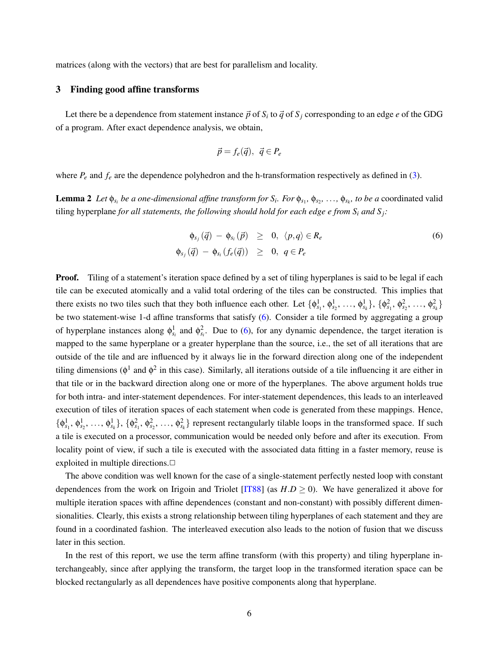matrices (along with the vectors) that are best for parallelism and locality.

# <span id="page-6-0"></span>3 Finding good affine transforms

Let there be a dependence from statement instance  $\vec{p}$  of  $S_i$  to  $\vec{q}$  of  $S_j$  corresponding to an edge *e* of the GDG of a program. After exact dependence analysis, we obtain,

<span id="page-6-1"></span>
$$
\vec{p} = f_e(\vec{q}), \ \vec{q} \in P_e
$$

where  $P_e$  and  $f_e$  are the dependence polyhedron and the h-transformation respectively as defined in [\(3\)](#page-4-0).

**Lemma 2** Let  $\phi_{s_i}$  be a one-dimensional affine transform for  $S_i$ . For  $\phi_{s_1}, \phi_{s_2}, \ldots, \phi_{s_k}$ , to be a coordinated valid tiling hyperplane *for all statements, the following should hold for each edge e from*  $S_i$  *and*  $S_j$ *<i>:* 

$$
\begin{array}{rcl}\n\phi_{s_j}(\vec{q}) - \phi_{s_i}(\vec{p}) & \geq & 0, \ \langle p, q \rangle \in R_e \\
\phi_{s_j}(\vec{q}) - \phi_{s_i} (f_e(\vec{q})) & \geq & 0, \ q \in P_e\n\end{array} \tag{6}
$$

**Proof.** Tiling of a statement's iteration space defined by a set of tiling hyperplanes is said to be legal if each tile can be executed atomically and a valid total ordering of the tiles can be constructed. This implies that there exists no two tiles such that they both influence each other. Let  $\{\phi_{s_1}^1, \phi_{s_2}^1, \ldots, \phi_{s_k}^1\}, \{\phi_{s_1}^2, \phi_{s_2}^2, \ldots, \phi_{s_k}^2\}$ be two statement-wise 1-d affine transforms that satisfy [\(6\)](#page-6-1). Consider a tile formed by aggregating a group of hyperplane instances along  $\phi_{s_i}^1$  and  $\phi_{s_i}^2$ . Due to [\(6\)](#page-6-1), for any dynamic dependence, the target iteration is mapped to the same hyperplane or a greater hyperplane than the source, i.e., the set of all iterations that are outside of the tile and are influenced by it always lie in the forward direction along one of the independent tiling dimensions ( $\phi^1$  and  $\phi^2$  in this case). Similarly, all iterations outside of a tile influencing it are either in that tile or in the backward direction along one or more of the hyperplanes. The above argument holds true for both intra- and inter-statement dependences. For inter-statement dependences, this leads to an interleaved execution of tiles of iteration spaces of each statement when code is generated from these mappings. Hence,  $\{\phi_{s_1}^1, \phi_{s_2}^1, \ldots, \phi_{s_k}^1\}, \{\phi_{s_1}^2, \phi_{s_2}^2, \ldots, \phi_{s_k}^2\}$  represent rectangularly tilable loops in the transformed space. If such a tile is executed on a processor, communication would be needed only before and after its execution. From locality point of view, if such a tile is executed with the associated data fitting in a faster memory, reuse is exploited in multiple directions. $\Box$ 

The above condition was well known for the case of a single-statement perfectly nested loop with constant dependences from the work on Irigoin and Triolet  $[IT88]$  (as  $H.D > 0$ ). We have generalized it above for multiple iteration spaces with affine dependences (constant and non-constant) with possibly different dimensionalities. Clearly, this exists a strong relationship between tiling hyperplanes of each statement and they are found in a coordinated fashion. The interleaved execution also leads to the notion of fusion that we discuss later in this section.

In the rest of this report, we use the term affine transform (with this property) and tiling hyperplane interchangeably, since after applying the transform, the target loop in the transformed iteration space can be blocked rectangularly as all dependences have positive components along that hyperplane.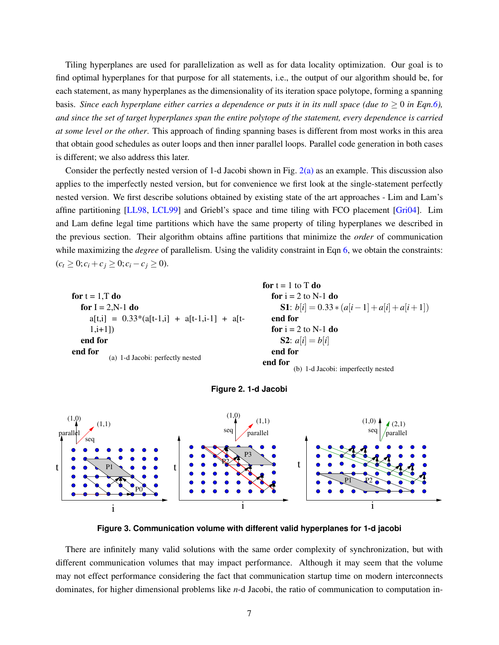Tiling hyperplanes are used for parallelization as well as for data locality optimization. Our goal is to find optimal hyperplanes for that purpose for all statements, i.e., the output of our algorithm should be, for each statement, as many hyperplanes as the dimensionality of its iteration space polytope, forming a spanning basis. *Since each hyperplane either carries a dependence or puts it in its null space (due to*  $\geq 0$  *in Eqn[.6\)](#page-6-1)*, *and since the set of target hyperplanes span the entire polytope of the statement, every dependence is carried at some level or the other*. This approach of finding spanning bases is different from most works in this area that obtain good schedules as outer loops and then inner parallel loops. Parallel code generation in both cases is different; we also address this later.

Consider the perfectly nested version of 1-d Jacobi shown in Fig. [2\(a\)](#page-7-0) as an example. This discussion also applies to the imperfectly nested version, but for convenience we first look at the single-statement perfectly nested version. We first describe solutions obtained by existing state of the art approaches - Lim and Lam's affine partitioning [\[LL98,](#page-27-4) [LCL99\]](#page-26-5) and Griebl's space and time tiling with FCO placement [\[Gri04\]](#page-26-6). Lim and Lam define legal time partitions which have the same property of tiling hyperplanes we described in the previous section. Their algorithm obtains affine partitions that minimize the *order* of communication while maximizing the *degree* of parallelism. Using the validity constraint in Eqn [6,](#page-6-1) we obtain the constraints:  $(c<sub>t</sub> ≥ 0; c<sub>i</sub> + c<sub>j</sub> ≥ 0; c<sub>i</sub> - c<sub>j</sub> ≥ 0).$ 

<span id="page-7-0"></span>

| for $t = 1$ , T do                                   | for $i = 2$ to N       |
|------------------------------------------------------|------------------------|
| for $I = 2$ , N-1 do                                 | <b>S1</b> : $b[i] = 0$ |
| $a[t,i] = 0.33*(a[t-1,i] + a[t-1,i-1] + a[t-1,i-1])$ | end for                |
| $1,i+1]$                                             | for $i = 2$ to N       |
| end for                                              | <b>S2:</b> $a[i] = b$  |
| end for                                              | end for                |
| (a) 1-d Jacobi: perfectly nested                     | end for                |

```
for t = 1 to T do
                   -1 do
                   0.33 * (a[i-1] + a[i] + a[i+1])-1 do
                   \mathfrak{z}[i]end for
          (b) 1-d Jacobi: imperfectly nested
```


<span id="page-7-1"></span>**Figure 3. Communication volume with different valid hyperplanes for 1-d jacobi**

There are infinitely many valid solutions with the same order complexity of synchronization, but with different communication volumes that may impact performance. Although it may seem that the volume may not effect performance considering the fact that communication startup time on modern interconnects dominates, for higher dimensional problems like *n*-d Jacobi, the ratio of communication to computation in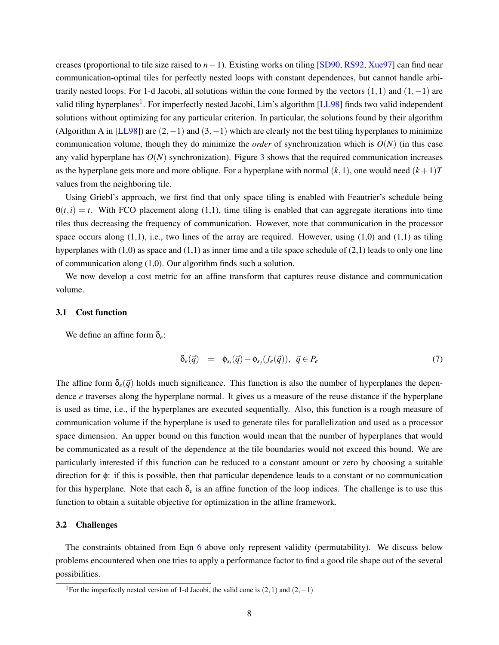creases (proportional to tile size raised to *n*−1). Existing works on tiling [\[SD90,](#page-27-7) [RS92,](#page-27-8) [Xue97\]](#page-28-0) can find near communication-optimal tiles for perfectly nested loops with constant dependences, but cannot handle arbitrarily nested loops. For 1-d Jacobi, all solutions within the cone formed by the vectors  $(1,1)$  and  $(1,-1)$  are valid tiling hyperplanes<sup>[1](#page-8-0)</sup>. For imperfectly nested Jacobi, Lim's algorithm [\[LL98\]](#page-27-4) finds two valid independent solutions without optimizing for any particular criterion. In particular, the solutions found by their algorithm (Algorithm A in [\[LL98\]](#page-27-4)) are  $(2,-1)$  and  $(3,-1)$  which are clearly not the best tiling hyperplanes to minimize communication volume, though they do minimize the *order* of synchronization which is  $O(N)$  (in this case any valid hyperplane has  $O(N)$  synchronization). Figure [3](#page-7-1) shows that the required communication increases as the hyperplane gets more and more oblique. For a hyperplane with normal  $(k,1)$ , one would need  $(k+1)T$ values from the neighboring tile.

Using Griebl's approach, we first find that only space tiling is enabled with Feautrier's schedule being  $\theta(t,i) = t$ . With FCO placement along (1,1), time tiling is enabled that can aggregate iterations into time tiles thus decreasing the frequency of communication. However, note that communication in the processor space occurs along  $(1,1)$ , i.e., two lines of the array are required. However, using  $(1,0)$  and  $(1,1)$  as tiling hyperplanes with  $(1,0)$  as space and  $(1,1)$  as inner time and a tile space schedule of  $(2,1)$  leads to only one line of communication along (1,0). Our algorithm finds such a solution.

We now develop a cost metric for an affine transform that captures reuse distance and communication volume.

## 3.1 Cost function

We define an affine form δ*e*:

$$
\delta_e(\vec{q}) = \phi_{s_i}(\vec{q}) - \phi_{s_j}(f_e(\vec{q})), \ \vec{q} \in P_e \tag{7}
$$

The affine form  $\delta_e(\vec{q})$  holds much significance. This function is also the number of hyperplanes the dependence *e* traverses along the hyperplane normal. It gives us a measure of the reuse distance if the hyperplane is used as time, i.e., if the hyperplanes are executed sequentially. Also, this function is a rough measure of communication volume if the hyperplane is used to generate tiles for parallelization and used as a processor space dimension. An upper bound on this function would mean that the number of hyperplanes that would be communicated as a result of the dependence at the tile boundaries would not exceed this bound. We are particularly interested if this function can be reduced to a constant amount or zero by choosing a suitable direction for φ: if this is possible, then that particular dependence leads to a constant or no communication for this hyperplane. Note that each  $\delta_e$  is an affine function of the loop indices. The challenge is to use this function to obtain a suitable objective for optimization in the affine framework.

# 3.2 Challenges

The constraints obtained from Eqn [6](#page-6-1) above only represent validity (permutability). We discuss below problems encountered when one tries to apply a performance factor to find a good tile shape out of the several possibilities.

<span id="page-8-0"></span><sup>&</sup>lt;sup>1</sup>For the imperfectly nested version of 1-d Jacobi, the valid cone is  $(2,1)$  and  $(2,-1)$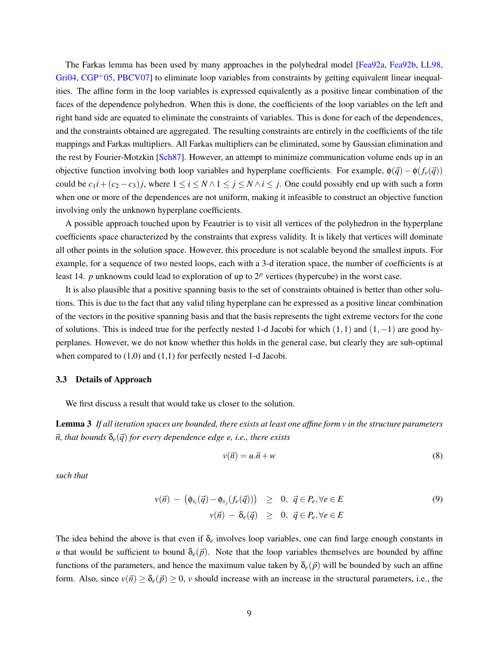The Farkas lemma has been used by many approaches in the polyhedral model [\[Fea92a,](#page-25-4) [Fea92b,](#page-26-4) [LL98,](#page-27-4)  $Gi(04, CGP<sup>+</sup>05, PBCV07]$  $Gi(04, CGP<sup>+</sup>05, PBCV07]$  $Gi(04, CGP<sup>+</sup>05, PBCV07]$  $Gi(04, CGP<sup>+</sup>05, PBCV07]$  to eliminate loop variables from constraints by getting equivalent linear inequalities. The affine form in the loop variables is expressed equivalently as a positive linear combination of the faces of the dependence polyhedron. When this is done, the coefficients of the loop variables on the left and right hand side are equated to eliminate the constraints of variables. This is done for each of the dependences, and the constraints obtained are aggregated. The resulting constraints are entirely in the coefficients of the tile mappings and Farkas multipliers. All Farkas multipliers can be eliminated, some by Gaussian elimination and the rest by Fourier-Motzkin [\[Sch87\]](#page-27-6). However, an attempt to minimize communication volume ends up in an objective function involving both loop variables and hyperplane coefficients. For example,  $\phi(\vec{q}) - \phi(f_e(\vec{q}))$ could be  $c_1 i + (c_2 - c_3) j$ , where  $1 \le i \le N \wedge 1 \le j \le N \wedge i \le j$ . One could possibly end up with such a form when one or more of the dependences are not uniform, making it infeasible to construct an objective function involving only the unknown hyperplane coefficients.

A possible approach touched upon by Feautrier is to visit all vertices of the polyhedron in the hyperplane coefficients space characterized by the constraints that express validity. It is likely that vertices will dominate all other points in the solution space. However, this procedure is not scalable beyond the smallest inputs. For example, for a sequence of two nested loops, each with a 3-d iteration space, the number of coefficients is at least 14. *p* unknowns could lead to exploration of up to 2*<sup>p</sup>* vertices (hypercube) in the worst case.

It is also plausible that a positive spanning basis to the set of constraints obtained is better than other solutions. This is due to the fact that any valid tiling hyperplane can be expressed as a positive linear combination of the vectors in the positive spanning basis and that the basis represents the tight extreme vectors for the cone of solutions. This is indeed true for the perfectly nested 1-d Jacobi for which (1,1) and (1,−1) are good hyperplanes. However, we do not know whether this holds in the general case, but clearly they are sub-optimal when compared to  $(1,0)$  and  $(1,1)$  for perfectly nested 1-d Jacobi.

#### 3.3 Details of Approach

We first discuss a result that would take us closer to the solution.

Lemma 3 *If all iteration spaces are bounded, there exists at least one affine form v in the structure parameters*  $\vec{n}$ , that bounds  $\delta_e(\vec{q})$  for every dependence edge e, i.e., there exists

$$
v(\vec{n}) = u \cdot \vec{n} + w \tag{8}
$$

*such that*

<span id="page-9-0"></span>
$$
v(\vec{n}) - (\phi_{s_i}(\vec{q}) - \phi_{s_j}(f_e(\vec{q}))) \geq 0, \ \vec{q} \in P_e, \forall e \in E
$$
  

$$
v(\vec{n}) - \delta_e(\vec{q}) \geq 0, \ \vec{q} \in P_e, \forall e \in E
$$
  
(9)

The idea behind the above is that even if  $\delta_e$  involves loop variables, one can find large enough constants in *u* that would be sufficient to bound  $\delta_e(\vec{p})$ . Note that the loop variables themselves are bounded by affine functions of the parameters, and hence the maximum value taken by  $\delta_e(\vec{p})$  will be bounded by such an affine form. Also, since  $v(\vec{n}) \geq \delta_e(\vec{p}) \geq 0$ , *v* should increase with an increase in the structural parameters, i.e., the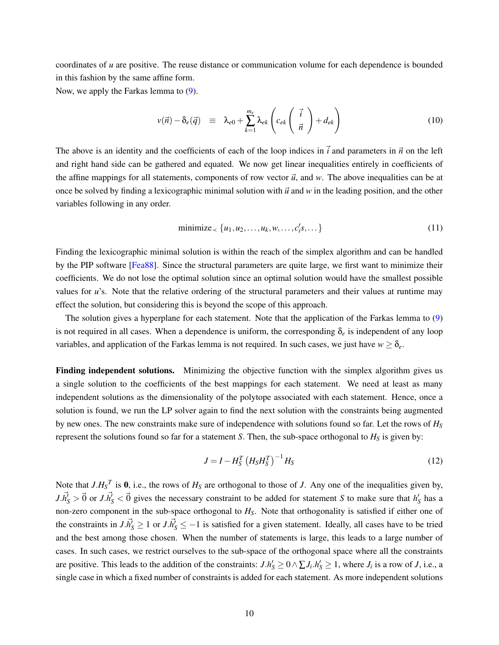coordinates of *u* are positive. The reuse distance or communication volume for each dependence is bounded in this fashion by the same affine form.

Now, we apply the Farkas lemma to [\(9\)](#page-9-0).

$$
v(\vec{n}) - \delta_e(\vec{q}) \equiv \lambda_{e0} + \sum_{k=1}^{m_e} \lambda_{ek} \left( c_{ek} \left( \frac{\vec{i}}{\vec{n}} \right) + d_{ek} \right)
$$
 (10)

The above is an identity and the coefficients of each of the loop indices in  $\vec{i}$  and parameters in  $\vec{n}$  on the left and right hand side can be gathered and equated. We now get linear inequalities entirely in coefficients of the affine mappings for all statements, components of row vector  $\vec{u}$ , and  $w$ . The above inequalities can be at once be solved by finding a lexicographic minimal solution with  $\vec{u}$  and  $w$  in the leading position, and the other variables following in any order.

<span id="page-10-0"></span>
$$
\text{minimize}_{\prec} \{u_1, u_2, \dots, u_k, w, \dots, c_i's, \dots\} \tag{11}
$$

Finding the lexicographic minimal solution is within the reach of the simplex algorithm and can be handled by the PIP software [\[Fea88\]](#page-25-3). Since the structural parameters are quite large, we first want to minimize their coefficients. We do not lose the optimal solution since an optimal solution would have the smallest possible values for *u*'s. Note that the relative ordering of the structural parameters and their values at runtime may effect the solution, but considering this is beyond the scope of this approach.

The solution gives a hyperplane for each statement. Note that the application of the Farkas lemma to [\(9\)](#page-9-0) is not required in all cases. When a dependence is uniform, the corresponding  $\delta_e$  is independent of any loop variables, and application of the Farkas lemma is not required. In such cases, we just have  $w \ge \delta_e$ .

Finding independent solutions. Minimizing the objective function with the simplex algorithm gives us a single solution to the coefficients of the best mappings for each statement. We need at least as many independent solutions as the dimensionality of the polytope associated with each statement. Hence, once a solution is found, we run the LP solver again to find the next solution with the constraints being augmented by new ones. The new constraints make sure of independence with solutions found so far. Let the rows of *H<sup>S</sup>* represent the solutions found so far for a statement *S*. Then, the sub-space orthogonal to  $H_S$  is given by:

<span id="page-10-1"></span>
$$
J = I - H_S^T \left( H_S H_S^T \right)^{-1} H_S \tag{12}
$$

Note that  $J.H_S^T$  is 0, i.e., the rows of  $H_S$  are orthogonal to those of *J*. Any one of the inequalities given by,  $J.\vec{h}'_S > \vec{0}$  or  $J.\vec{h}'_S < \vec{0}$  gives the necessary constraint to be added for statement *S* to make sure that  $h'_S$  has a non-zero component in the sub-space orthogonal to *HS*. Note that orthogonality is satisfied if either one of the constraints in  $J.\vec{h}^{\prime}_{S} \geq 1$  or  $J.\vec{h}^{\prime}_{S} \leq -1$  is satisfied for a given statement. Ideally, all cases have to be tried and the best among those chosen. When the number of statements is large, this leads to a large number of cases. In such cases, we restrict ourselves to the sub-space of the orthogonal space where all the constraints are positive. This leads to the addition of the constraints:  $J.h'_S \ge 0 \wedge \sum J_i.h'_S \ge 1$ , where  $J_i$  is a row of  $J$ , i.e., a single case in which a fixed number of constraints is added for each statement. As more independent solutions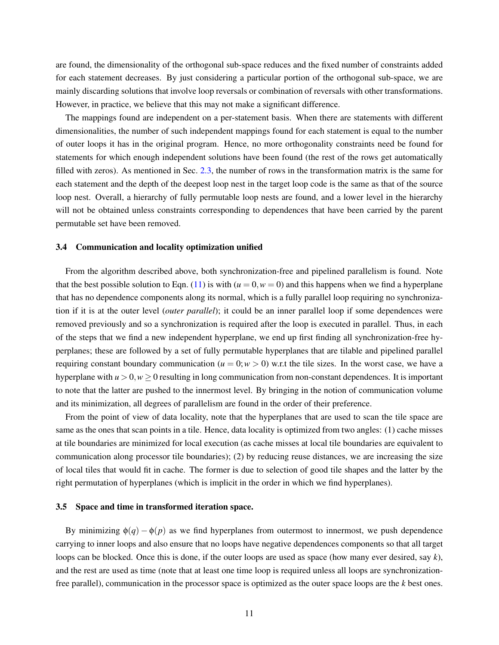are found, the dimensionality of the orthogonal sub-space reduces and the fixed number of constraints added for each statement decreases. By just considering a particular portion of the orthogonal sub-space, we are mainly discarding solutions that involve loop reversals or combination of reversals with other transformations. However, in practice, we believe that this may not make a significant difference.

The mappings found are independent on a per-statement basis. When there are statements with different dimensionalities, the number of such independent mappings found for each statement is equal to the number of outer loops it has in the original program. Hence, no more orthogonality constraints need be found for statements for which enough independent solutions have been found (the rest of the rows get automatically filled with zeros). As mentioned in Sec. [2.3,](#page-4-1) the number of rows in the transformation matrix is the same for each statement and the depth of the deepest loop nest in the target loop code is the same as that of the source loop nest. Overall, a hierarchy of fully permutable loop nests are found, and a lower level in the hierarchy will not be obtained unless constraints corresponding to dependences that have been carried by the parent permutable set have been removed.

## 3.4 Communication and locality optimization unified

From the algorithm described above, both synchronization-free and pipelined parallelism is found. Note that the best possible solution to Eqn. [\(11\)](#page-10-0) is with  $(u = 0, w = 0)$  and this happens when we find a hyperplane that has no dependence components along its normal, which is a fully parallel loop requiring no synchronization if it is at the outer level (*outer parallel*); it could be an inner parallel loop if some dependences were removed previously and so a synchronization is required after the loop is executed in parallel. Thus, in each of the steps that we find a new independent hyperplane, we end up first finding all synchronization-free hyperplanes; these are followed by a set of fully permutable hyperplanes that are tilable and pipelined parallel requiring constant boundary communication ( $u = 0$ ;  $w > 0$ ) w.r.t the tile sizes. In the worst case, we have a hyperplane with  $u > 0$ ,  $w > 0$  resulting in long communication from non-constant dependences. It is important to note that the latter are pushed to the innermost level. By bringing in the notion of communication volume and its minimization, all degrees of parallelism are found in the order of their preference.

From the point of view of data locality, note that the hyperplanes that are used to scan the tile space are same as the ones that scan points in a tile. Hence, data locality is optimized from two angles: (1) cache misses at tile boundaries are minimized for local execution (as cache misses at local tile boundaries are equivalent to communication along processor tile boundaries); (2) by reducing reuse distances, we are increasing the size of local tiles that would fit in cache. The former is due to selection of good tile shapes and the latter by the right permutation of hyperplanes (which is implicit in the order in which we find hyperplanes).

# 3.5 Space and time in transformed iteration space.

By minimizing  $\phi(q) - \phi(p)$  as we find hyperplanes from outermost to innermost, we push dependence carrying to inner loops and also ensure that no loops have negative dependences components so that all target loops can be blocked. Once this is done, if the outer loops are used as space (how many ever desired, say *k*), and the rest are used as time (note that at least one time loop is required unless all loops are synchronizationfree parallel), communication in the processor space is optimized as the outer space loops are the *k* best ones.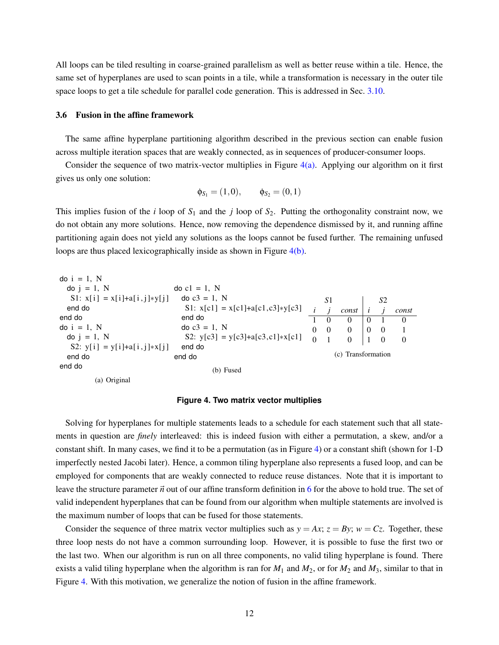All loops can be tiled resulting in coarse-grained parallelism as well as better reuse within a tile. Hence, the same set of hyperplanes are used to scan points in a tile, while a transformation is necessary in the outer tile space loops to get a tile schedule for parallel code generation. This is addressed in Sec. [3.10.](#page-15-0)

## <span id="page-12-3"></span>3.6 Fusion in the affine framework

The same affine hyperplane partitioning algorithm described in the previous section can enable fusion across multiple iteration spaces that are weakly connected, as in sequences of producer-consumer loops.

Consider the sequence of two matrix-vector multiplies in Figure  $4(a)$ . Applying our algorithm on it first gives us only one solution:

$$
\phi_{S_1} = (1,0), \quad \phi_{S_2} = (0,1)
$$

This implies fusion of the *i* loop of  $S_1$  and the *j* loop of  $S_2$ . Putting the orthogonality constraint now, we do not obtain any more solutions. Hence, now removing the dependence dismissed by it, and running affine partitioning again does not yield any solutions as the loops cannot be fused further. The remaining unfused loops are thus placed lexicographically inside as shown in Figure [4\(b\).](#page-12-1)

<span id="page-12-0"></span>

## <span id="page-12-2"></span><span id="page-12-1"></span>**Figure 4. Two matrix vector multiplies**

Solving for hyperplanes for multiple statements leads to a schedule for each statement such that all statements in question are *finely* interleaved: this is indeed fusion with either a permutation, a skew, and/or a constant shift. In many cases, we find it to be a permutation (as in Figure [4\)](#page-12-2) or a constant shift (shown for 1-D imperfectly nested Jacobi later). Hence, a common tiling hyperplane also represents a fused loop, and can be employed for components that are weakly connected to reduce reuse distances. Note that it is important to leave the structure parameter  $\vec{n}$  out of our affine transform definition in [6](#page-4-2) for the above to hold true. The set of valid independent hyperplanes that can be found from our algorithm when multiple statements are involved is the maximum number of loops that can be fused for those statements.

Consider the sequence of three matrix vector multiplies such as  $y = Ax$ ;  $z = By$ ;  $w = Cz$ . Together, these three loop nests do not have a common surrounding loop. However, it is possible to fuse the first two or the last two. When our algorithm is run on all three components, no valid tiling hyperplane is found. There exists a valid tiling hyperplane when the algorithm is ran for  $M_1$  and  $M_2$ , or for  $M_2$  and  $M_3$ , similar to that in Figure [4.](#page-12-2) With this motivation, we generalize the notion of fusion in the affine framework.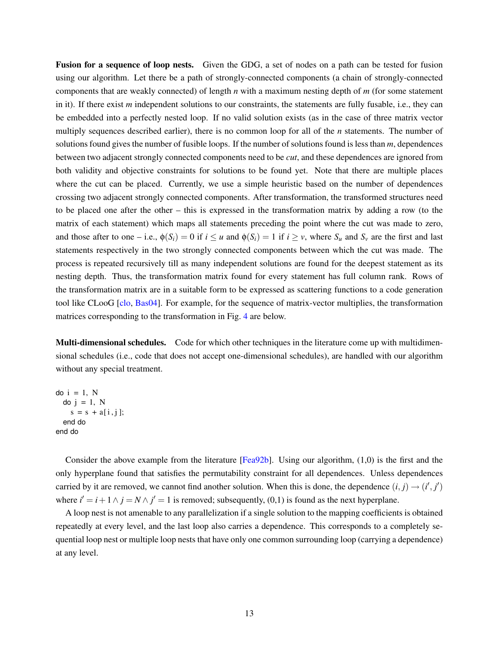Fusion for a sequence of loop nests. Given the GDG, a set of nodes on a path can be tested for fusion using our algorithm. Let there be a path of strongly-connected components (a chain of strongly-connected components that are weakly connected) of length *n* with a maximum nesting depth of *m* (for some statement in it). If there exist *m* independent solutions to our constraints, the statements are fully fusable, i.e., they can be embedded into a perfectly nested loop. If no valid solution exists (as in the case of three matrix vector multiply sequences described earlier), there is no common loop for all of the *n* statements. The number of solutions found gives the number of fusible loops. If the number of solutions found is less than *m*, dependences between two adjacent strongly connected components need to be *cut*, and these dependences are ignored from both validity and objective constraints for solutions to be found yet. Note that there are multiple places where the cut can be placed. Currently, we use a simple heuristic based on the number of dependences crossing two adjacent strongly connected components. After transformation, the transformed structures need to be placed one after the other – this is expressed in the transformation matrix by adding a row (to the matrix of each statement) which maps all statements preceding the point where the cut was made to zero, and those after to one – i.e.,  $\phi(S_i) = 0$  if  $i \le u$  and  $\phi(S_i) = 1$  if  $i \ge v$ , where  $S_u$  and  $S_v$  are the first and last statements respectively in the two strongly connected components between which the cut was made. The process is repeated recursively till as many independent solutions are found for the deepest statement as its nesting depth. Thus, the transformation matrix found for every statement has full column rank. Rows of the transformation matrix are in a suitable form to be expressed as scattering functions to a code generation tool like CLooG [\[clo,](#page-25-6) [Bas04\]](#page-25-1). For example, for the sequence of matrix-vector multiplies, the transformation matrices corresponding to the transformation in Fig. [4](#page-12-2) are below.

Multi-dimensional schedules. Code for which other techniques in the literature come up with multidimensional schedules (i.e., code that does not accept one-dimensional schedules), are handled with our algorithm without any special treatment.

do  $i = 1$ , N do  $j = 1$ , N  $s = s + a[i, j];$ end do end do

Consider the above example from the literature [\[Fea92b\]](#page-26-4). Using our algorithm, (1,0) is the first and the only hyperplane found that satisfies the permutability constraint for all dependences. Unless dependences carried by it are removed, we cannot find another solution. When this is done, the dependence  $(i, j) \rightarrow (i', j')$ where  $i' = i + 1 \land j = N \land j' = 1$  is removed; subsequently, (0,1) is found as the next hyperplane.

A loop nest is not amenable to any parallelization if a single solution to the mapping coefficients is obtained repeatedly at every level, and the last loop also carries a dependence. This corresponds to a completely sequential loop nest or multiple loop nests that have only one common surrounding loop (carrying a dependence) at any level.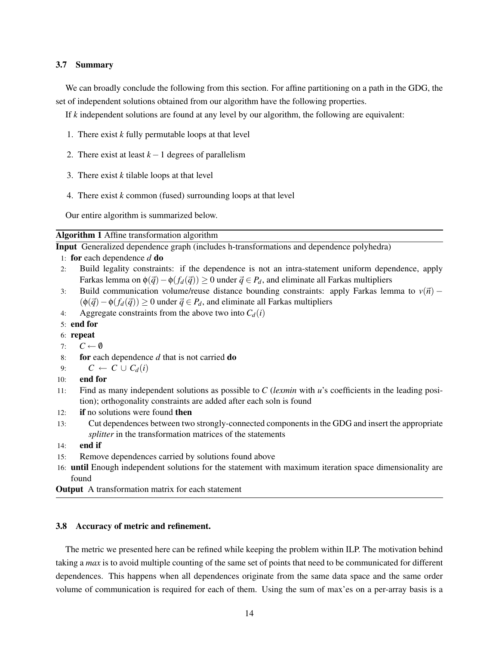# 3.7 Summary

We can broadly conclude the following from this section. For affine partitioning on a path in the GDG, the set of independent solutions obtained from our algorithm have the following properties.

If *k* independent solutions are found at any level by our algorithm, the following are equivalent:

- 1. There exist *k* fully permutable loops at that level
- 2. There exist at least  $k-1$  degrees of parallelism
- 3. There exist *k* tilable loops at that level
- 4. There exist *k* common (fused) surrounding loops at that level

Our entire algorithm is summarized below.

Algorithm 1 Affine transformation algorithm

Input Generalized dependence graph (includes h-transformations and dependence polyhedra)

- 1: for each dependence *d* do
- 2: Build legality constraints: if the dependence is not an intra-statement uniform dependence, apply Farkas lemma on  $\phi(\vec{q}) - \phi(f_d(\vec{q})) \ge 0$  under  $\vec{q} \in P_d$ , and eliminate all Farkas multipliers
- 3: Build communication volume/reuse distance bounding constraints: apply Farkas lemma to  $v(\vec{n})$   $(\phi(\vec{q}) - \phi(f_d(\vec{q})) \ge 0$  under  $\vec{q} \in P_d$ , and eliminate all Farkas multipliers
- 4: Aggregate constraints from the above two into  $C_d(i)$
- 5: end for
- 6: repeat
- 7:  $C \leftarrow \emptyset$
- 8: for each dependence *d* that is not carried do
- 9:  $C \leftarrow C \cup C_d(i)$
- 10: end for
- 11: Find as many independent solutions as possible to *C* (*lexmin* with *u*'s coefficients in the leading position); orthogonality constraints are added after each soln is found
- 12: if no solutions were found then
- 13: Cut dependences between two strongly-connected components in the GDG and insert the appropriate *splitter* in the transformation matrices of the statements
- $14:$  end if
- 15: Remove dependences carried by solutions found above
- 16: until Enough independent solutions for the statement with maximum iteration space dimensionality are found
- **Output** A transformation matrix for each statement

# 3.8 Accuracy of metric and refinement.

The metric we presented here can be refined while keeping the problem within ILP. The motivation behind taking a *max* is to avoid multiple counting of the same set of points that need to be communicated for different dependences. This happens when all dependences originate from the same data space and the same order volume of communication is required for each of them. Using the sum of max'es on a per-array basis is a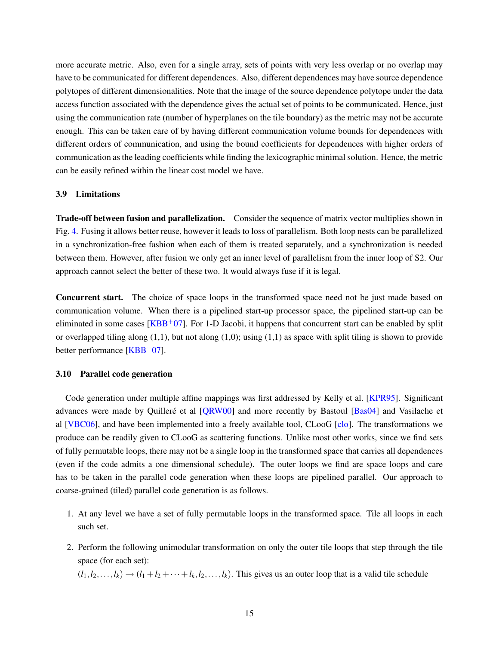more accurate metric. Also, even for a single array, sets of points with very less overlap or no overlap may have to be communicated for different dependences. Also, different dependences may have source dependence polytopes of different dimensionalities. Note that the image of the source dependence polytope under the data access function associated with the dependence gives the actual set of points to be communicated. Hence, just using the communication rate (number of hyperplanes on the tile boundary) as the metric may not be accurate enough. This can be taken care of by having different communication volume bounds for dependences with different orders of communication, and using the bound coefficients for dependences with higher orders of communication as the leading coefficients while finding the lexicographic minimal solution. Hence, the metric can be easily refined within the linear cost model we have.

# 3.9 Limitations

Trade-off between fusion and parallelization. Consider the sequence of matrix vector multiplies shown in Fig. [4.](#page-12-2) Fusing it allows better reuse, however it leads to loss of parallelism. Both loop nests can be parallelized in a synchronization-free fashion when each of them is treated separately, and a synchronization is needed between them. However, after fusion we only get an inner level of parallelism from the inner loop of S2. Our approach cannot select the better of these two. It would always fuse if it is legal.

Concurrent start. The choice of space loops in the transformed space need not be just made based on communication volume. When there is a pipelined start-up processor space, the pipelined start-up can be eliminated in some cases  $[KBB<sup>+</sup>07]$  $[KBB<sup>+</sup>07]$ . For 1-D Jacobi, it happens that concurrent start can be enabled by split or overlapped tiling along  $(1,1)$ , but not along  $(1,0)$ ; using  $(1,1)$  as space with split tiling is shown to provide better performance  $[KBB<sup>+</sup>07]$  $[KBB<sup>+</sup>07]$ .

## <span id="page-15-0"></span>3.10 Parallel code generation

Code generation under multiple affine mappings was first addressed by Kelly et al. [\[KPR95\]](#page-26-1). Significant advances were made by Quilleré et al [[QRW00\]](#page-27-2) and more recently by Bastoul [\[Bas04\]](#page-25-1) and Vasilache et al [\[VBC06\]](#page-27-3), and have been implemented into a freely available tool, CLooG [\[clo\]](#page-25-6). The transformations we produce can be readily given to CLooG as scattering functions. Unlike most other works, since we find sets of fully permutable loops, there may not be a single loop in the transformed space that carries all dependences (even if the code admits a one dimensional schedule). The outer loops we find are space loops and care has to be taken in the parallel code generation when these loops are pipelined parallel. Our approach to coarse-grained (tiled) parallel code generation is as follows.

- 1. At any level we have a set of fully permutable loops in the transformed space. Tile all loops in each such set.
- 2. Perform the following unimodular transformation on only the outer tile loops that step through the tile space (for each set):

 $(l_1, l_2, \ldots, l_k) \rightarrow (l_1 + l_2 + \cdots + l_k, l_2, \ldots, l_k)$ . This gives us an outer loop that is a valid tile schedule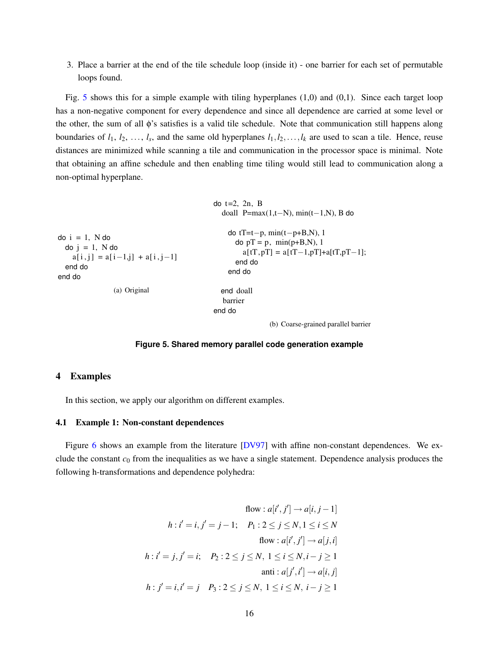3. Place a barrier at the end of the tile schedule loop (inside it) - one barrier for each set of permutable loops found.

Fig. [5](#page-16-1) shows this for a simple example with tiling hyperplanes  $(1,0)$  and  $(0,1)$ . Since each target loop has a non-negative component for every dependence and since all dependence are carried at some level or the other, the sum of all φ's satisfies is a valid tile schedule. Note that communication still happens along boundaries of  $l_1, l_2, \ldots, l_s$ , and the same old hyperplanes  $l_1, l_2, \ldots, l_k$  are used to scan a tile. Hence, reuse distances are minimized while scanning a tile and communication in the processor space is minimal. Note that obtaining an affine schedule and then enabling time tiling would still lead to communication along a non-optimal hyperplane.

```
do i = 1, N do
 do i = 1, N do
    a[i, j] = a[i-1, j] + a[i, j-1]end do
end do
                (a) Original
                                            do t=2, 2n, B
                                               doall P=max(1,t−N), min(t−1,N), B do
                                                do tT=t−p, min(t−p+B,N), 1
                                                  do pT = p, min(p+B,N), 1
                                                     a[tT, pT] = a[tT-1, pT] + a[tT, pT-1];end do
                                                end do
                                               end doall
                                               barrier
                                            end do
```
(b) Coarse-grained parallel barrier

# <span id="page-16-1"></span>**Figure 5. Shared memory parallel code generation example**

# <span id="page-16-0"></span>4 Examples

In this section, we apply our algorithm on different examples.

## 4.1 Example 1: Non-constant dependences

Figure [6](#page-17-0) shows an example from the literature [\[DV97\]](#page-25-7) with affine non-constant dependences. We exclude the constant  $c_0$  from the inequalities as we have a single statement. Dependence analysis produces the following h-transformations and dependence polyhedra:

<span id="page-16-2"></span>flow : 
$$
a[i', j'] \rightarrow a[i, j-1]
$$
  
\n*h* : *i'* = *i*, *j'* = *j* − 1; *P*<sub>1</sub> : 2 ≤ *j* ≤ *N*, 1 ≤ *i* ≤ *N*  
\nflow :  $a[i', j'] \rightarrow a[j, i]$   
\n*h* : *i'* = *j*, *j'* = *i*; *P*<sub>2</sub> : 2 ≤ *j* ≤ *N*, 1 ≤ *i* ≤ *N*, *i* − *j* ≥ 1  
\nanti :  $a[j', i'] \rightarrow a[i, j]$   
\n*h* : *j'* = *i*, *i'* = *j P*<sub>3</sub> : 2 ≤ *j* ≤ *N*, 1 ≤ *i* ≤ *N*, *i* − *j* ≥ 1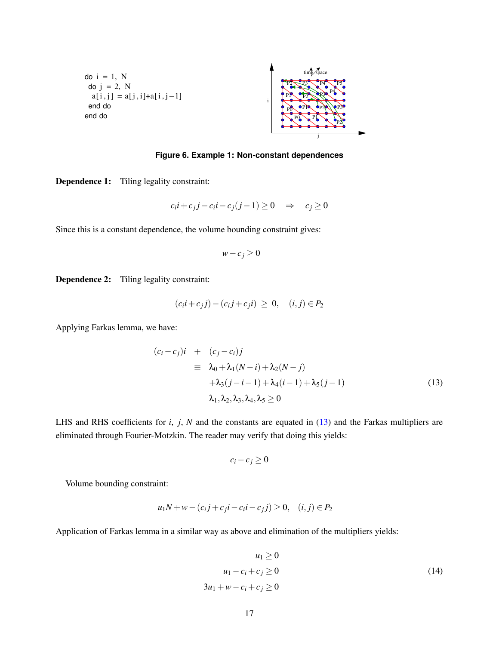<span id="page-17-1"></span>do  $i = 1$ , N do  $j = 2$ , N  $a[i, j] = a[j, i] + a[i, j-1]$ end do end do



<span id="page-17-0"></span>**Figure 6. Example 1: Non-constant dependences**

Dependence 1: Tiling legality constraint:

$$
c_i i + c_j j - c_i i - c_j (j - 1) \ge 0 \quad \Rightarrow \quad c_j \ge 0
$$

Since this is a constant dependence, the volume bounding constraint gives:

$$
w-c_j\geq 0
$$

Dependence 2: Tiling legality constraint:

$$
(c_i i + c_j j) - (c_i j + c_j i) \geq 0, \quad (i, j) \in P_2
$$

Applying Farkas lemma, we have:

$$
(c_i - c_j)i + (c_j - c_i)j
$$
  
\n
$$
\equiv \lambda_0 + \lambda_1 (N - i) + \lambda_2 (N - j)
$$
  
\n
$$
+ \lambda_3 (j - i - 1) + \lambda_4 (i - 1) + \lambda_5 (j - 1)
$$
  
\n
$$
\lambda_1, \lambda_2, \lambda_3, \lambda_4, \lambda_5 \ge 0
$$
\n(13)

LHS and RHS coefficients for *i*, *j*, *N* and the constants are equated in [\(13\)](#page-16-2) and the Farkas multipliers are eliminated through Fourier-Motzkin. The reader may verify that doing this yields:

$$
c_i - c_j \geq 0
$$

Volume bounding constraint:

$$
u_1N + w - (c_i j + c_j i - c_i i - c_j j) \ge 0, \quad (i, j) \in P_2
$$

Application of Farkas lemma in a similar way as above and elimination of the multipliers yields:

$$
u_1 \ge 0
$$
  
\n
$$
u_1 - c_i + c_j \ge 0
$$
  
\n
$$
3u_1 + w - c_i + c_j \ge 0
$$
\n(14)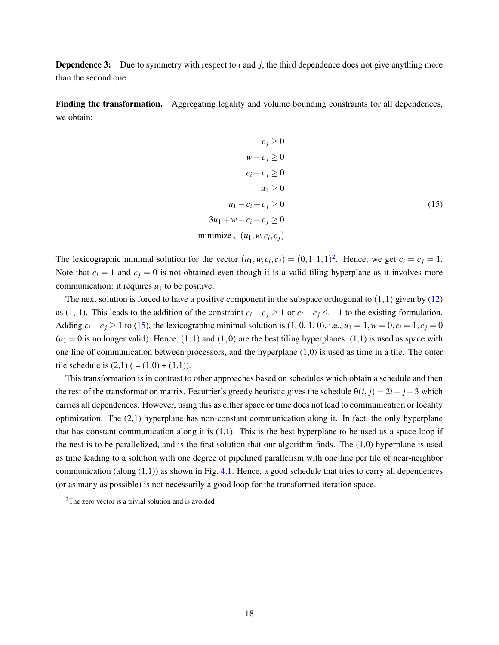**Dependence 3:** Due to symmetry with respect to *i* and *j*, the third dependence does not give anything more than the second one.

Finding the transformation. Aggregating legality and volume bounding constraints for all dependences, we obtain:

<span id="page-18-1"></span>
$$
c_j \ge 0
$$
  
\n
$$
w - c_j \ge 0
$$
  
\n
$$
c_i - c_j \ge 0
$$
  
\n
$$
u_1 \ge 0
$$
  
\n
$$
u_1 - c_i + c_j \ge 0
$$
  
\n
$$
3u_1 + w - c_i + c_j \ge 0
$$
  
\n
$$
\text{minimize}_{\prec} (u_1, w, c_i, c_j)
$$
\n(15)

The lexicographic minimal solution for the vector  $(u_1, w, c_i, c_j) = (0, 1, 1, 1)^2$  $(u_1, w, c_i, c_j) = (0, 1, 1, 1)^2$ . Hence, we get  $c_i = c_j = 1$ . Note that  $c_i = 1$  and  $c_j = 0$  is not obtained even though it is a valid tiling hyperplane as it involves more communication: it requires  $u_1$  to be positive.

The next solution is forced to have a positive component in the subspace orthogonal to  $(1,1)$  given by  $(12)$ as (1,-1). This leads to the addition of the constraint  $c_i - c_j \ge 1$  or  $c_i - c_j \le -1$  to the existing formulation. Adding  $c_i - c_j \ge 1$  to [\(15\)](#page-18-1), the lexicographic minimal solution is (1, 0, 1, 0), i.e.,  $u_1 = 1, w = 0, c_i = 1, c_j = 0$  $(u_1 = 0$  is no longer valid). Hence,  $(1,1)$  and  $(1,0)$  are the best tiling hyperplanes.  $(1,1)$  is used as space with one line of communication between processors, and the hyperplane (1,0) is used as time in a tile. The outer tile schedule is  $(2,1)$  ( =  $(1,0) + (1,1)$ ).

This transformation is in contrast to other approaches based on schedules which obtain a schedule and then the rest of the transformation matrix. Feautrier's greedy heuristic gives the schedule  $\theta(i, j) = 2i + j - 3$  which carries all dependences. However, using this as either space or time does not lead to communication or locality optimization. The (2,1) hyperplane has non-constant communication along it. In fact, the only hyperplane that has constant communication along it is (1,1). This is the best hyperplane to be used as a space loop if the nest is to be parallelized, and is the first solution that our algorithm finds. The  $(1,0)$  hyperplane is used as time leading to a solution with one degree of pipelined parallelism with one line per tile of near-neighbor communication (along  $(1,1)$ ) as shown in Fig. [4.1.](#page-17-1) Hence, a good schedule that tries to carry all dependences (or as many as possible) is not necessarily a good loop for the transformed iteration space.

<span id="page-18-0"></span> $2$ The zero vector is a trivial solution and is avoided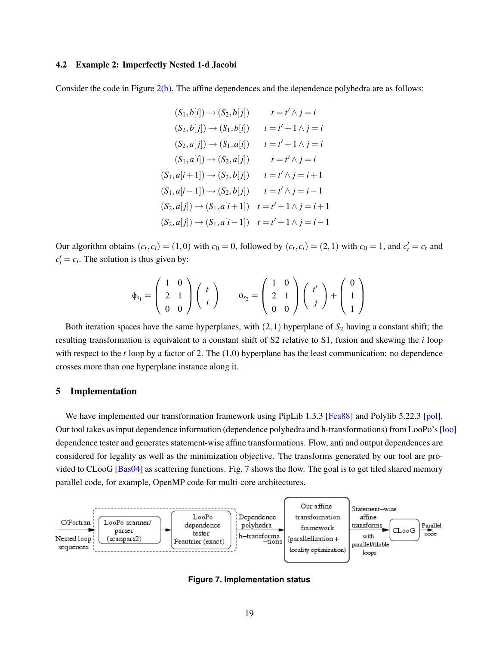# 4.2 Example 2: Imperfectly Nested 1-d Jacobi

Consider the code in Figure [2\(b\).](#page-7-2) The affine dependences and the dependence polyhedra are as follows:

$$
(S_1, b[i]) \rightarrow (S_2, b[j]) \qquad t = t' \land j = i
$$
  
\n
$$
(S_2, b[j]) \rightarrow (S_1, b[i]) \qquad t = t' + 1 \land j = i
$$
  
\n
$$
(S_2, a[j]) \rightarrow (S_1, a[i]) \qquad t = t' + 1 \land j = i
$$
  
\n
$$
(S_1, a[i]) \rightarrow (S_2, a[j]) \qquad t = t' \land j = i
$$
  
\n
$$
(S_1, a[i+1]) \rightarrow (S_2, b[j]) \qquad t = t' \land j = i + 1
$$
  
\n
$$
(S_1, a[i-1]) \rightarrow (S_2, b[j]) \qquad t = t' \land j = i - 1
$$
  
\n
$$
(S_2, a[j]) \rightarrow (S_1, a[i+1]) \qquad t = t' + 1 \land j = i + 1
$$
  
\n
$$
(S_2, a[j]) \rightarrow (S_1, a[i-1]) \qquad t = t' + 1 \land j = i - 1
$$

Our algorithm obtains  $(c_t, c_i) = (1, 0)$  with  $c_0 = 0$ , followed by  $(c_t, c_i) = (2, 1)$  with  $c_0 = 1$ , and  $c'_t = c_t$  and  $c_i' = c_i$ . The solution is thus given by:

$$
\phi_{s_1} = \begin{pmatrix} 1 & 0 \\ 2 & 1 \\ 0 & 0 \end{pmatrix} \begin{pmatrix} t \\ i \end{pmatrix} \qquad \phi_{s_2} = \begin{pmatrix} 1 & 0 \\ 2 & 1 \\ 0 & 0 \end{pmatrix} \begin{pmatrix} t' \\ j \end{pmatrix} + \begin{pmatrix} 0 \\ 1 \\ 1 \end{pmatrix}
$$

Both iteration spaces have the same hyperplanes, with  $(2,1)$  hyperplane of  $S_2$  having a constant shift; the resulting transformation is equivalent to a constant shift of S2 relative to S1, fusion and skewing the *i* loop with respect to the *t* loop by a factor of 2. The (1,0) hyperplane has the least communication: no dependence crosses more than one hyperplane instance along it.

## <span id="page-19-0"></span>5 Implementation

We have implemented our transformation framework using PipLib 1.3.3 [\[Fea88\]](#page-25-3) and Polylib 5.22.3 [\[pol\]](#page-27-10). Our tool takes as input dependence information (dependence polyhedra and h-transformations) from LooPo's [\[loo\]](#page-27-11) dependence tester and generates statement-wise affine transformations. Flow, anti and output dependences are considered for legality as well as the minimization objective. The transforms generated by our tool are provided to CLooG [\[Bas04\]](#page-25-1) as scattering functions. Fig. [7](#page-19-1) shows the flow. The goal is to get tiled shared memory parallel code, for example, OpenMP code for multi-core architectures.



<span id="page-19-1"></span>**Figure 7. Implementation status**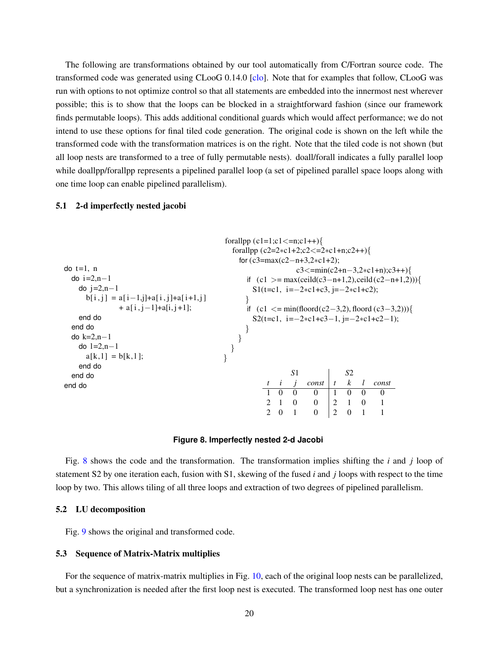The following are transformations obtained by our tool automatically from C/Fortran source code. The transformed code was generated using CLooG 0.14.0 [\[clo\]](#page-25-6). Note that for examples that follow, CLooG was run with options to not optimize control so that all statements are embedded into the innermost nest wherever possible; this is to show that the loops can be blocked in a straightforward fashion (since our framework finds permutable loops). This adds additional conditional guards which would affect performance; we do not intend to use these options for final tiled code generation. The original code is shown on the left while the transformed code with the transformation matrices is on the right. Note that the tiled code is not shown (but all loop nests are transformed to a tree of fully permutable nests). doall/forall indicates a fully parallel loop while doallpp/forallpp represents a pipelined parallel loop (a set of pipelined parallel space loops along with one time loop can enable pipelined parallelism).

# 5.1 2-d imperfectly nested jacobi

```
do t=1, n
 do i=2, n-1do i=2,n-1b[i, j] = a[i-1, j]+a[i, j]+a[i+1, j]+ a[i, j-1] + a[i, j+1];end do
 end do
 do k=2,n−1
   do l=2, n-1a[k, l] = b[k, l];end do
 end do
end do
                                       forallpp (c1=1;c1<=n;c1++){
                                         forallpp (c2=2∗c1+2;c2<=2∗c1+n;c2++){
                                           for (c3=max(c2−n+3,2∗c1+2);
                                                         c3 \leq=min(c2+n-3,2*c1+n);c3++){
                                             if (c1 >= max(ceild(c3−n+1,2),ceild (c2−n+1,2))){
                                              S1(t=c1, i=-2∗c1+c3, j=-2∗c1+c2);
                                             }
                                             if (c1 <= min(floord(c2−3,2), floord (c3−3,2))){
                                              S2(t=c1, i=-2∗c1+c3−1, j=-2∗c1+c2−1);
                                            }
                                           }
                                         }
                                       }
                                                        S1 S2
                                                     t i j const t k l const
                                                  1 0 0 0 1 0 0 0
                                                  2 1 0 0 2 1 0 1
                                                  2 0 1 0 2 0 1 1
```
# <span id="page-20-0"></span>**Figure 8. Imperfectly nested 2-d Jacobi**

Fig. [8](#page-20-0) shows the code and the transformation. The transformation implies shifting the *i* and *j* loop of statement S2 by one iteration each, fusion with S1, skewing of the fused *i* and *j* loops with respect to the time loop by two. This allows tiling of all three loops and extraction of two degrees of pipelined parallelism.

# 5.2 LU decomposition

Fig. [9](#page-21-0) shows the original and transformed code.

### 5.3 Sequence of Matrix-Matrix multiplies

For the sequence of matrix-matrix multiplies in Fig. [10,](#page-22-1) each of the original loop nests can be parallelized, but a synchronization is needed after the first loop nest is executed. The transformed loop nest has one outer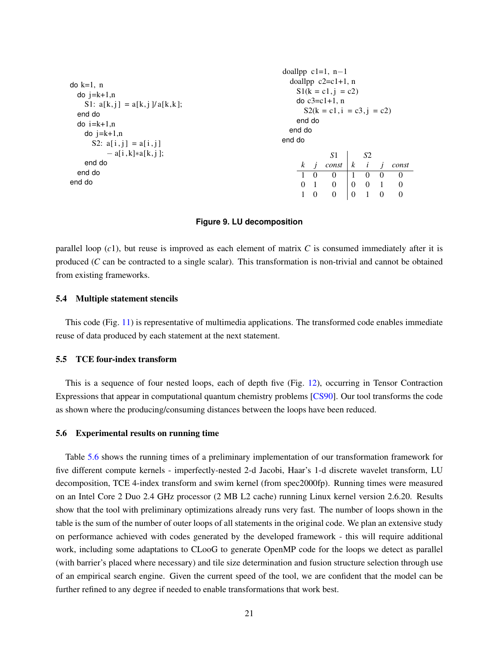| $do k=1, n$<br>$\alpha$ j=k+1,n<br>S1: $a[k,j] = a[k,j]/a[k,k];$<br>end do<br>$do$ i= $k+1,n$<br>$do$ $i=k+1,n$<br>S2: $a[i, j] = a[i, j]$ | doallpp $c1=1$ , $n-1$<br>end do<br>end do<br>end do |                | doallpp $c2 = c1 + 1$ , n<br>$S1(k = c1, j = c2)$<br>do $c3 = c1 + 1$ , n<br>$S2(k = c1, i = c3, j = c2)$ |                  |          |                |          |
|--------------------------------------------------------------------------------------------------------------------------------------------|------------------------------------------------------|----------------|-----------------------------------------------------------------------------------------------------------|------------------|----------|----------------|----------|
| $- a[i, k]*a[k, j];$                                                                                                                       |                                                      |                | S1                                                                                                        |                  | S2       |                |          |
| end do                                                                                                                                     | $\mathbf{k}$                                         | $\overline{1}$ | const                                                                                                     | $\boldsymbol{k}$ | i        | $\overline{1}$ | const    |
| end do                                                                                                                                     | $\overline{1}$                                       | $\Omega$       | $\Omega$                                                                                                  | $\mathbf{1}$     | $\Omega$ | $\Omega$       | $\Omega$ |
| end do                                                                                                                                     | $\Omega$                                             | $\overline{1}$ | $\Omega$                                                                                                  | $\theta$         | $\Omega$ | $\mathbf{1}$   | $\Omega$ |
|                                                                                                                                            |                                                      | $\left($       | $\Omega$                                                                                                  | $\overline{0}$   |          | $\Omega$       | $\Omega$ |

#### <span id="page-21-0"></span>**Figure 9. LU decomposition**

parallel loop (*c*1), but reuse is improved as each element of matrix *C* is consumed immediately after it is produced (*C* can be contracted to a single scalar). This transformation is non-trivial and cannot be obtained from existing frameworks.

#### 5.4 Multiple statement stencils

This code (Fig. [11\)](#page-23-0) is representative of multimedia applications. The transformed code enables immediate reuse of data produced by each statement at the next statement.

#### 5.5 TCE four-index transform

This is a sequence of four nested loops, each of depth five (Fig. [12\)](#page-29-0), occurring in Tensor Contraction Expressions that appear in computational quantum chemistry problems [\[CS90\]](#page-25-8). Our tool transforms the code as shown where the producing/consuming distances between the loops have been reduced.

#### <span id="page-21-1"></span>5.6 Experimental results on running time

Table [5.6](#page-21-1) shows the running times of a preliminary implementation of our transformation framework for five different compute kernels - imperfectly-nested 2-d Jacobi, Haar's 1-d discrete wavelet transform, LU decomposition, TCE 4-index transform and swim kernel (from spec2000fp). Running times were measured on an Intel Core 2 Duo 2.4 GHz processor (2 MB L2 cache) running Linux kernel version 2.6.20. Results show that the tool with preliminary optimizations already runs very fast. The number of loops shown in the table is the sum of the number of outer loops of all statements in the original code. We plan an extensive study on performance achieved with codes generated by the developed framework - this will require additional work, including some adaptations to CLooG to generate OpenMP code for the loops we detect as parallel (with barrier's placed where necessary) and tile size determination and fusion structure selection through use of an empirical search engine. Given the current speed of the tool, we are confident that the model can be further refined to any degree if needed to enable transformations that work best.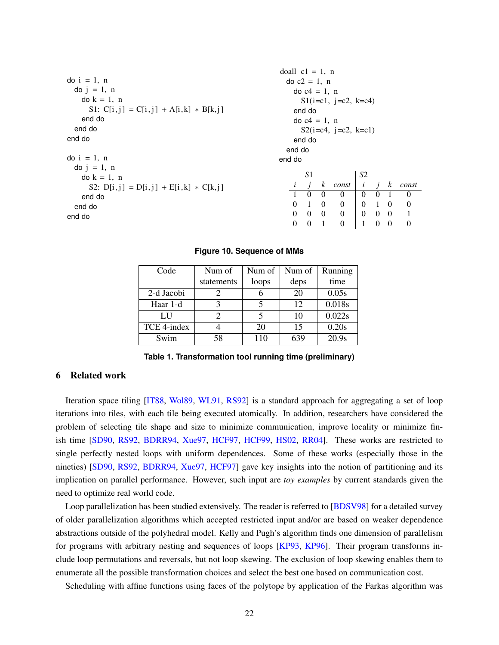| end do   |                |                  |                          |                                                                                                          |                |                                                  |                                                                                                                   |
|----------|----------------|------------------|--------------------------|----------------------------------------------------------------------------------------------------------|----------------|--------------------------------------------------|-------------------------------------------------------------------------------------------------------------------|
|          |                |                  |                          |                                                                                                          |                |                                                  |                                                                                                                   |
|          |                |                  |                          |                                                                                                          |                |                                                  |                                                                                                                   |
|          |                |                  |                          |                                                                                                          |                |                                                  |                                                                                                                   |
|          |                |                  |                          |                                                                                                          |                |                                                  |                                                                                                                   |
|          |                |                  |                          |                                                                                                          |                |                                                  |                                                                                                                   |
|          |                |                  |                          |                                                                                                          |                |                                                  |                                                                                                                   |
|          | S1             |                  |                          |                                                                                                          |                |                                                  |                                                                                                                   |
| i        | $\overline{i}$ |                  |                          |                                                                                                          |                |                                                  | const                                                                                                             |
|          | $\Omega$       | $\Omega$         | $\Omega$                 | $\theta$                                                                                                 |                |                                                  | $\overline{0}$                                                                                                    |
| $\Omega$ | $\mathbf{1}$   |                  | $\theta$                 |                                                                                                          |                |                                                  | $\theta$                                                                                                          |
| $\Omega$ | $\Omega$       |                  | $\theta$                 |                                                                                                          |                |                                                  | $\overline{1}$                                                                                                    |
| $\Omega$ | $\Omega$       | -1               | $\overline{0}$           | 1                                                                                                        | $\overline{0}$ |                                                  | $\theta$                                                                                                          |
|          |                | end do<br>end do | end do<br>$\overline{0}$ | doall $c1 = 1$ , n<br>do $c2 = 1$ , n<br>do $c4 = 1$ , n<br>do $c4 = 1$ , n<br>k const<br>$\overline{0}$ | S <sub>2</sub> | $S1(i=c1, j=c2, k=c4)$<br>$S2(i=c4, j=c2, k=c1)$ | $i \quad j$<br>$\boldsymbol{k}$<br>0 <sub>1</sub><br>$0 \quad 1 \quad 0$<br>$0 \quad 0 \quad 0$<br>$\overline{0}$ |

#### <span id="page-22-1"></span>**Figure 10. Sequence of MMs**

| Code        | Num of     | Num of | Num of | Running |
|-------------|------------|--------|--------|---------|
|             | statements | loops  | deps   | time    |
| 2-d Jacobi  |            |        | 20     | 0.05s   |
| Haar 1-d    |            |        | 12     | 0.018s  |
| LU          |            |        | 10     | 0.022s  |
| TCE 4-index |            | 20     | 15     | 0.20s   |
| Swim        | 58         | 110    | 639    | 20.9s   |

**Table 1. Transformation tool running time (preliminary)**

# <span id="page-22-0"></span>6 Related work

Iteration space tiling [\[IT88,](#page-26-8) [Wol89,](#page-28-1) [WL91,](#page-27-12) [RS92\]](#page-27-8) is a standard approach for aggregating a set of loop iterations into tiles, with each tile being executed atomically. In addition, researchers have considered the problem of selecting tile shape and size to minimize communication, improve locality or minimize finish time [\[SD90,](#page-27-7) [RS92,](#page-27-8) [BDRR94,](#page-25-9) [Xue97,](#page-28-0) [HCF97,](#page-26-10) [HCF99,](#page-26-11) [HS02,](#page-26-12) [RR04\]](#page-27-13). These works are restricted to single perfectly nested loops with uniform dependences. Some of these works (especially those in the nineties) [\[SD90,](#page-27-7) [RS92,](#page-27-8) [BDRR94,](#page-25-9) [Xue97,](#page-28-0) [HCF97\]](#page-26-10) gave key insights into the notion of partitioning and its implication on parallel performance. However, such input are *toy examples* by current standards given the need to optimize real world code.

Loop parallelization has been studied extensively. The reader is referred to [\[BDSV98\]](#page-25-10) for a detailed survey of older parallelization algorithms which accepted restricted input and/or are based on weaker dependence abstractions outside of the polyhedral model. Kelly and Pugh's algorithm finds one dimension of parallelism for programs with arbitrary nesting and sequences of loops [\[KP93,](#page-26-13) [KP96\]](#page-26-14). Their program transforms include loop permutations and reversals, but not loop skewing. The exclusion of loop skewing enables them to enumerate all the possible transformation choices and select the best one based on communication cost.

Scheduling with affine functions using faces of the polytope by application of the Farkas algorithm was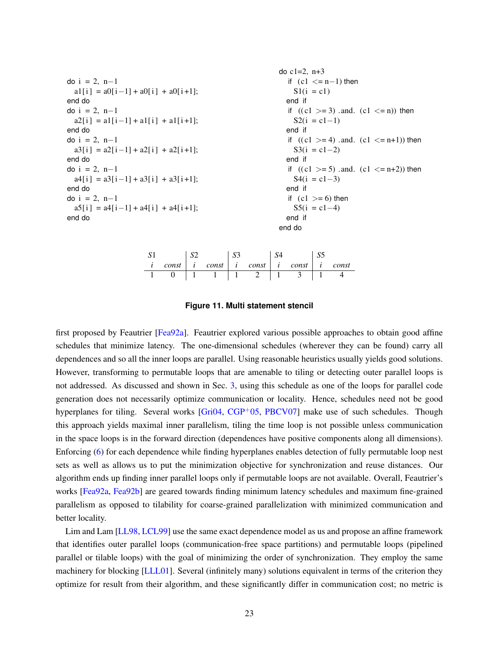```
do i = 2, n-1a1[i] = a0[i-1] + a0[i] + a0[i+1];end do
do i = 2, n-1a2[i] = a1[i-1] + a1[i] + a1[i+1];end do
do i = 2, n-1a3[i] = a2[i-1] + a2[i] + a2[i+1];end do
do i = 2, n-1a4[i] = a3[i-1] + a3[i] + a3[i+1];end do
do i = 2, n-1a5[i] = a4[i-1] + a4[i] + a4[i+1];end do
                                                         do c1=2, n+3if (c1 \le n-1) then
                                                             S1(i = c1)end if
                                                           if ((c1 > = 3) and. (c1 < = n)) then
                                                             S_2(i = c1-1)end if
                                                           if ((c1 > = 4) and. (c1 < = n+1)) then
                                                             S3(i = c1-2)end if
                                                           if ((c1 > = 5) and. (c1 < = n+2)) then
                                                             S4(i = c1-3)end if
                                                           if (c1 >= 6) then
                                                             S5(i = c1-4)end if
                                                         end do
```

|       | CΩ | $\sim$<br>ມ~ |                                 |                |       |
|-------|----|--------------|---------------------------------|----------------|-------|
| const |    |              | $const \mid i \quad const \mid$ | $const \mid i$ | const |
|       |    |              |                                 |                |       |

<span id="page-23-0"></span>**Figure 11. Multi statement stencil**

first proposed by Feautrier [\[Fea92a\]](#page-25-4). Feautrier explored various possible approaches to obtain good affine schedules that minimize latency. The one-dimensional schedules (wherever they can be found) carry all dependences and so all the inner loops are parallel. Using reasonable heuristics usually yields good solutions. However, transforming to permutable loops that are amenable to tiling or detecting outer parallel loops is not addressed. As discussed and shown in Sec. [3,](#page-6-0) using this schedule as one of the loops for parallel code generation does not necessarily optimize communication or locality. Hence, schedules need not be good hyperplanes for tiling. Several works [\[Gri04,](#page-26-6) [CGP](#page-25-2)<sup>+</sup>05, [PBCV07\]](#page-27-9) make use of such schedules. Though this approach yields maximal inner parallelism, tiling the time loop is not possible unless communication in the space loops is in the forward direction (dependences have positive components along all dimensions). Enforcing [\(6\)](#page-6-1) for each dependence while finding hyperplanes enables detection of fully permutable loop nest sets as well as allows us to put the minimization objective for synchronization and reuse distances. Our algorithm ends up finding inner parallel loops only if permutable loops are not available. Overall, Feautrier's works [\[Fea92a,](#page-25-4) [Fea92b\]](#page-26-4) are geared towards finding minimum latency schedules and maximum fine-grained parallelism as opposed to tilability for coarse-grained parallelization with minimized communication and better locality.

Lim and Lam [\[LL98,](#page-27-4) [LCL99\]](#page-26-5) use the same exact dependence model as us and propose an affine framework that identifies outer parallel loops (communication-free space partitions) and permutable loops (pipelined parallel or tilable loops) with the goal of minimizing the order of synchronization. They employ the same machinery for blocking [\[LLL01\]](#page-27-5). Several (infinitely many) solutions equivalent in terms of the criterion they optimize for result from their algorithm, and these significantly differ in communication cost; no metric is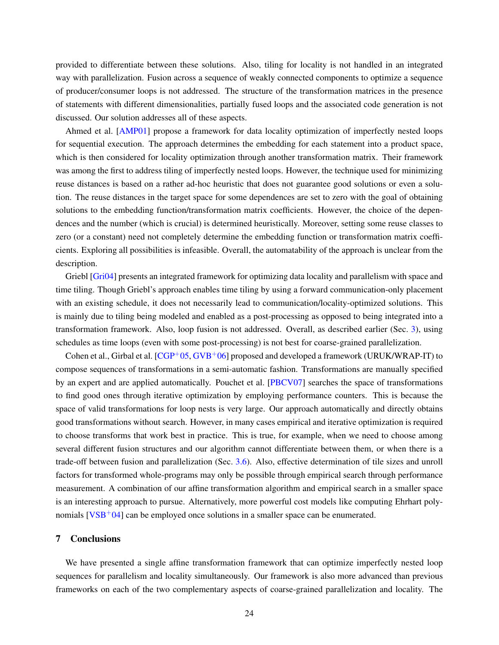provided to differentiate between these solutions. Also, tiling for locality is not handled in an integrated way with parallelization. Fusion across a sequence of weakly connected components to optimize a sequence of producer/consumer loops is not addressed. The structure of the transformation matrices in the presence of statements with different dimensionalities, partially fused loops and the associated code generation is not discussed. Our solution addresses all of these aspects.

Ahmed et al. [\[AMP01\]](#page-25-5) propose a framework for data locality optimization of imperfectly nested loops for sequential execution. The approach determines the embedding for each statement into a product space, which is then considered for locality optimization through another transformation matrix. Their framework was among the first to address tiling of imperfectly nested loops. However, the technique used for minimizing reuse distances is based on a rather ad-hoc heuristic that does not guarantee good solutions or even a solution. The reuse distances in the target space for some dependences are set to zero with the goal of obtaining solutions to the embedding function/transformation matrix coefficients. However, the choice of the dependences and the number (which is crucial) is determined heuristically. Moreover, setting some reuse classes to zero (or a constant) need not completely determine the embedding function or transformation matrix coefficients. Exploring all possibilities is infeasible. Overall, the automatability of the approach is unclear from the description.

Griebl [\[Gri04\]](#page-26-6) presents an integrated framework for optimizing data locality and parallelism with space and time tiling. Though Griebl's approach enables time tiling by using a forward communication-only placement with an existing schedule, it does not necessarily lead to communication/locality-optimized solutions. This is mainly due to tiling being modeled and enabled as a post-processing as opposed to being integrated into a transformation framework. Also, loop fusion is not addressed. Overall, as described earlier (Sec. [3\)](#page-6-0), using schedules as time loops (even with some post-processing) is not best for coarse-grained parallelization.

Cohen et al., Girbal et al.  $[CGP<sup>+</sup>05, GVB<sup>+</sup>06]$  $[CGP<sup>+</sup>05, GVB<sup>+</sup>06]$  $[CGP<sup>+</sup>05, GVB<sup>+</sup>06]$  $[CGP<sup>+</sup>05, GVB<sup>+</sup>06]$  proposed and developed a framework (URUK/WRAP-IT) to compose sequences of transformations in a semi-automatic fashion. Transformations are manually specified by an expert and are applied automatically. Pouchet et al. [\[PBCV07\]](#page-27-9) searches the space of transformations to find good ones through iterative optimization by employing performance counters. This is because the space of valid transformations for loop nests is very large. Our approach automatically and directly obtains good transformations without search. However, in many cases empirical and iterative optimization is required to choose transforms that work best in practice. This is true, for example, when we need to choose among several different fusion structures and our algorithm cannot differentiate between them, or when there is a trade-off between fusion and parallelization (Sec. [3.6\)](#page-12-3). Also, effective determination of tile sizes and unroll factors for transformed whole-programs may only be possible through empirical search through performance measurement. A combination of our affine transformation algorithm and empirical search in a smaller space is an interesting approach to pursue. Alternatively, more powerful cost models like computing Ehrhart polynomials  $[VSB<sup>+</sup>04]$  $[VSB<sup>+</sup>04]$  can be employed once solutions in a smaller space can be enumerated.

# <span id="page-24-0"></span>7 Conclusions

We have presented a single affine transformation framework that can optimize imperfectly nested loop sequences for parallelism and locality simultaneously. Our framework is also more advanced than previous frameworks on each of the two complementary aspects of coarse-grained parallelization and locality. The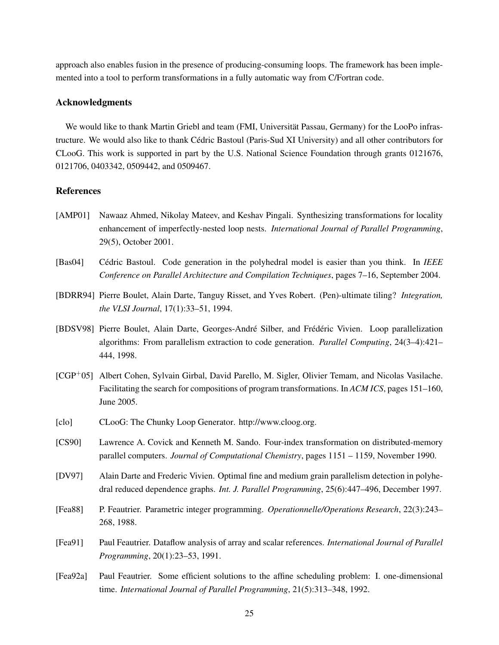approach also enables fusion in the presence of producing-consuming loops. The framework has been implemented into a tool to perform transformations in a fully automatic way from C/Fortran code.

# Acknowledgments

We would like to thank Martin Griebl and team (FMI, Universität Passau, Germany) for the LooPo infrastructure. We would also like to thank Cedric Bastoul (Paris-Sud XI University) and all other contributors for ´ CLooG. This work is supported in part by the U.S. National Science Foundation through grants 0121676, 0121706, 0403342, 0509442, and 0509467.

# References

- <span id="page-25-5"></span>[AMP01] Nawaaz Ahmed, Nikolay Mateev, and Keshav Pingali. Synthesizing transformations for locality enhancement of imperfectly-nested loop nests. *International Journal of Parallel Programming*, 29(5), October 2001.
- <span id="page-25-1"></span>[Bas04] Cédric Bastoul. Code generation in the polyhedral model is easier than you think. In *IEEE Conference on Parallel Architecture and Compilation Techniques*, pages 7–16, September 2004.
- <span id="page-25-9"></span>[BDRR94] Pierre Boulet, Alain Darte, Tanguy Risset, and Yves Robert. (Pen)-ultimate tiling? *Integration, the VLSI Journal*, 17(1):33–51, 1994.
- <span id="page-25-10"></span>[BDSV98] Pierre Boulet, Alain Darte, Georges-André Silber, and Frédéric Vivien. Loop parallelization algorithms: From parallelism extraction to code generation. *Parallel Computing*, 24(3–4):421– 444, 1998.
- <span id="page-25-2"></span>[CGP+05] Albert Cohen, Sylvain Girbal, David Parello, M. Sigler, Olivier Temam, and Nicolas Vasilache. Facilitating the search for compositions of program transformations. In *ACM ICS*, pages 151–160, June 2005.
- <span id="page-25-6"></span>[clo] CLooG: The Chunky Loop Generator. http://www.cloog.org.
- <span id="page-25-8"></span>[CS90] Lawrence A. Covick and Kenneth M. Sando. Four-index transformation on distributed-memory parallel computers. *Journal of Computational Chemistry*, pages 1151 – 1159, November 1990.
- <span id="page-25-7"></span>[DV97] Alain Darte and Frederic Vivien. Optimal fine and medium grain parallelism detection in polyhedral reduced dependence graphs. *Int. J. Parallel Programming*, 25(6):447–496, December 1997.
- <span id="page-25-3"></span>[Fea88] P. Feautrier. Parametric integer programming. *Operationnelle/Operations Research*, 22(3):243– 268, 1988.
- <span id="page-25-0"></span>[Fea91] Paul Feautrier. Dataflow analysis of array and scalar references. *International Journal of Parallel Programming*, 20(1):23–53, 1991.
- <span id="page-25-4"></span>[Fea92a] Paul Feautrier. Some efficient solutions to the affine scheduling problem: I. one-dimensional time. *International Journal of Parallel Programming*, 21(5):313–348, 1992.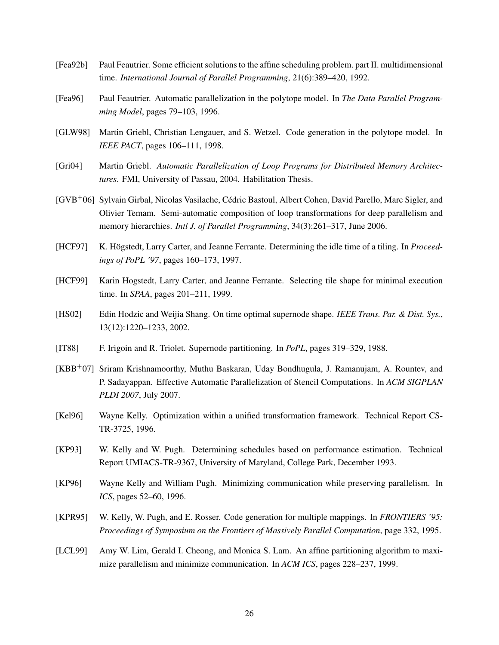- <span id="page-26-4"></span>[Fea92b] Paul Feautrier. Some efficient solutions to the affine scheduling problem. part II. multidimensional time. *International Journal of Parallel Programming*, 21(6):389–420, 1992.
- <span id="page-26-0"></span>[Fea96] Paul Feautrier. Automatic parallelization in the polytope model. In *The Data Parallel Programming Model*, pages 79–103, 1996.
- <span id="page-26-2"></span>[GLW98] Martin Griebl, Christian Lengauer, and S. Wetzel. Code generation in the polytope model. In *IEEE PACT*, pages 106–111, 1998.
- <span id="page-26-6"></span>[Gri04] Martin Griebl. *Automatic Parallelization of Loop Programs for Distributed Memory Architectures*. FMI, University of Passau, 2004. Habilitation Thesis.
- <span id="page-26-3"></span>[GVB+06] Sylvain Girbal, Nicolas Vasilache, Cedric Bastoul, Albert Cohen, David Parello, Marc Sigler, and ´ Olivier Temam. Semi-automatic composition of loop transformations for deep parallelism and memory hierarchies. *Intl J. of Parallel Programming*, 34(3):261–317, June 2006.
- <span id="page-26-10"></span>[HCF97] K. Högstedt, Larry Carter, and Jeanne Ferrante. Determining the idle time of a tiling. In *Proceedings of PoPL '97*, pages 160–173, 1997.
- <span id="page-26-11"></span>[HCF99] Karin Hogstedt, Larry Carter, and Jeanne Ferrante. Selecting tile shape for minimal execution time. In *SPAA*, pages 201–211, 1999.
- <span id="page-26-12"></span>[HS02] Edin Hodzic and Weijia Shang. On time optimal supernode shape. *IEEE Trans. Par. & Dist. Sys.*, 13(12):1220–1233, 2002.
- <span id="page-26-8"></span>[IT88] F. Irigoin and R. Triolet. Supernode partitioning. In *PoPL*, pages 319–329, 1988.
- <span id="page-26-9"></span>[KBB+07] Sriram Krishnamoorthy, Muthu Baskaran, Uday Bondhugula, J. Ramanujam, A. Rountev, and P. Sadayappan. Effective Automatic Parallelization of Stencil Computations. In *ACM SIGPLAN PLDI 2007*, July 2007.
- <span id="page-26-7"></span>[Kel96] Wayne Kelly. Optimization within a unified transformation framework. Technical Report CS-TR-3725, 1996.
- <span id="page-26-13"></span>[KP93] W. Kelly and W. Pugh. Determining schedules based on performance estimation. Technical Report UMIACS-TR-9367, University of Maryland, College Park, December 1993.
- <span id="page-26-14"></span>[KP96] Wayne Kelly and William Pugh. Minimizing communication while preserving parallelism. In *ICS*, pages 52–60, 1996.
- <span id="page-26-1"></span>[KPR95] W. Kelly, W. Pugh, and E. Rosser. Code generation for multiple mappings. In *FRONTIERS '95: Proceedings of Symposium on the Frontiers of Massively Parallel Computation*, page 332, 1995.
- <span id="page-26-5"></span>[LCL99] Amy W. Lim, Gerald I. Cheong, and Monica S. Lam. An affine partitioning algorithm to maximize parallelism and minimize communication. In *ACM ICS*, pages 228–237, 1999.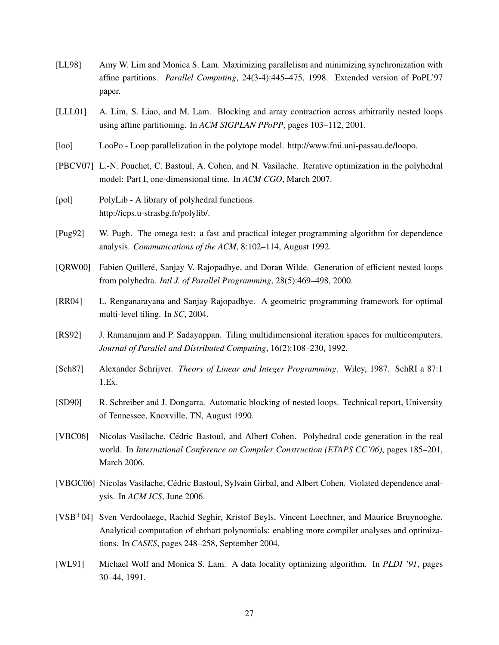- <span id="page-27-4"></span>[LL98] Amy W. Lim and Monica S. Lam. Maximizing parallelism and minimizing synchronization with affine partitions. *Parallel Computing*, 24(3-4):445–475, 1998. Extended version of PoPL'97 paper.
- <span id="page-27-5"></span>[LLL01] A. Lim, S. Liao, and M. Lam. Blocking and array contraction across arbitrarily nested loops using affine partitioning. In *ACM SIGPLAN PPoPP*, pages 103–112, 2001.
- <span id="page-27-11"></span>[loo] LooPo - Loop parallelization in the polytope model. http://www.fmi.uni-passau.de/loopo.
- <span id="page-27-9"></span>[PBCV07] L.-N. Pouchet, C. Bastoul, A. Cohen, and N. Vasilache. Iterative optimization in the polyhedral model: Part I, one-dimensional time. In *ACM CGO*, March 2007.
- <span id="page-27-10"></span>[pol] PolyLib - A library of polyhedral functions. http://icps.u-strasbg.fr/polylib/.
- <span id="page-27-0"></span>[Pug92] W. Pugh. The omega test: a fast and practical integer programming algorithm for dependence analysis. *Communications of the ACM*, 8:102–114, August 1992.
- <span id="page-27-2"></span>[ORW00] Fabien Quilleré, Sanjay V. Rajopadhye, and Doran Wilde. Generation of efficient nested loops from polyhedra. *Intl J. of Parallel Programming*, 28(5):469–498, 2000.
- <span id="page-27-13"></span>[RR04] L. Renganarayana and Sanjay Rajopadhye. A geometric programming framework for optimal multi-level tiling. In *SC*, 2004.
- <span id="page-27-8"></span>[RS92] J. Ramanujam and P. Sadayappan. Tiling multidimensional iteration spaces for multicomputers. *Journal of Parallel and Distributed Computing*, 16(2):108–230, 1992.
- <span id="page-27-6"></span>[Sch87] Alexander Schrijver. *Theory of Linear and Integer Programming*. Wiley, 1987. SchRI a 87:1 1.Ex.
- <span id="page-27-7"></span>[SD90] R. Schreiber and J. Dongarra. Automatic blocking of nested loops. Technical report, University of Tennessee, Knoxville, TN, August 1990.
- <span id="page-27-3"></span>[VBC06] Nicolas Vasilache, Cedric Bastoul, and Albert Cohen. Polyhedral code generation in the real ´ world. In *International Conference on Compiler Construction (ETAPS CC'06)*, pages 185–201, March 2006.
- <span id="page-27-1"></span>[VBGC06] Nicolas Vasilache, Cedric Bastoul, Sylvain Girbal, and Albert Cohen. Violated dependence anal- ´ ysis. In *ACM ICS*, June 2006.
- <span id="page-27-14"></span>[VSB+04] Sven Verdoolaege, Rachid Seghir, Kristof Beyls, Vincent Loechner, and Maurice Bruynooghe. Analytical computation of ehrhart polynomials: enabling more compiler analyses and optimizations. In *CASES*, pages 248–258, September 2004.
- <span id="page-27-12"></span>[WL91] Michael Wolf and Monica S. Lam. A data locality optimizing algorithm. In *PLDI '91*, pages 30–44, 1991.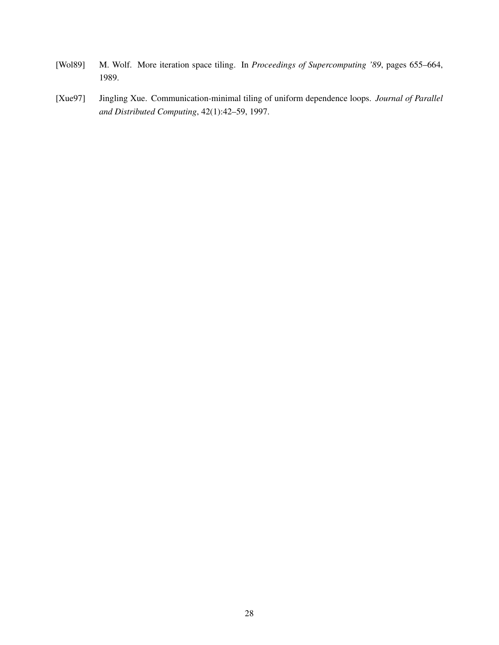- <span id="page-28-1"></span>[Wol89] M. Wolf. More iteration space tiling. In *Proceedings of Supercomputing '89*, pages 655–664, 1989.
- <span id="page-28-0"></span>[Xue97] Jingling Xue. Communication-minimal tiling of uniform dependence loops. *Journal of Parallel and Distributed Computing*, 42(1):42–59, 1997.